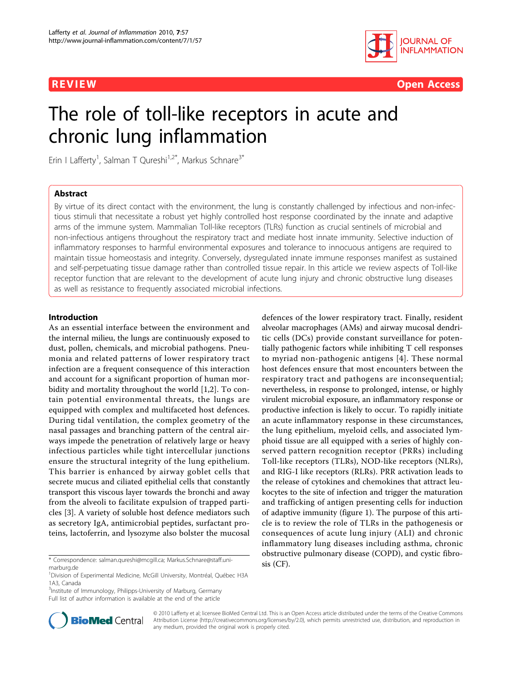

R EVI EW Open Access

# The role of toll-like receptors in acute and chronic lung inflammation

Erin I Lafferty<sup>1</sup>, Salman T Qureshi<sup>1,2\*</sup>, Markus Schnare<sup>3\*</sup>

# Abstract

By virtue of its direct contact with the environment, the lung is constantly challenged by infectious and non-infectious stimuli that necessitate a robust yet highly controlled host response coordinated by the innate and adaptive arms of the immune system. Mammalian Toll-like receptors (TLRs) function as crucial sentinels of microbial and non-infectious antigens throughout the respiratory tract and mediate host innate immunity. Selective induction of inflammatory responses to harmful environmental exposures and tolerance to innocuous antigens are required to maintain tissue homeostasis and integrity. Conversely, dysregulated innate immune responses manifest as sustained and self-perpetuating tissue damage rather than controlled tissue repair. In this article we review aspects of Toll-like receptor function that are relevant to the development of acute lung injury and chronic obstructive lung diseases as well as resistance to frequently associated microbial infections.

#### Introduction

As an essential interface between the environment and the internal milieu, the lungs are continuously exposed to dust, pollen, chemicals, and microbial pathogens. Pneumonia and related patterns of lower respiratory tract infection are a frequent consequence of this interaction and account for a significant proportion of human morbidity and mortality throughout the world [[1,2](#page-8-0)]. To contain potential environmental threats, the lungs are equipped with complex and multifaceted host defences. During tidal ventilation, the complex geometry of the nasal passages and branching pattern of the central airways impede the penetration of relatively large or heavy infectious particles while tight intercellular junctions ensure the structural integrity of the lung epithelium. This barrier is enhanced by airway goblet cells that secrete mucus and ciliated epithelial cells that constantly transport this viscous layer towards the bronchi and away from the alveoli to facilitate expulsion of trapped particles [[3\]](#page-8-0). A variety of soluble host defence mediators such as secretory IgA, antimicrobial peptides, surfactant proteins, lactoferrin, and lysozyme also bolster the mucosal

sis (CF). \* Correspondence: [salman.qureshi@mcgill.ca;](mailto:salman.qureshi@mcgill.ca) [Markus.Schnare@staff.uni](mailto:Markus.Schnare@staff.uni-marburg.de)[marburg.de](mailto:Markus.Schnare@staff.uni-marburg.de)

<sup>3</sup>Institute of Immunology, Philipps-University of Marburg, Germany Full list of author information is available at the end of the article

defences of the lower respiratory tract. Finally, resident alveolar macrophages (AMs) and airway mucosal dendritic cells (DCs) provide constant surveillance for potentially pathogenic factors while inhibiting T cell responses to myriad non-pathogenic antigens [\[4\]](#page-8-0). These normal host defences ensure that most encounters between the respiratory tract and pathogens are inconsequential; nevertheless, in response to prolonged, intense, or highly virulent microbial exposure, an inflammatory response or productive infection is likely to occur. To rapidly initiate an acute inflammatory response in these circumstances, the lung epithelium, myeloid cells, and associated lymphoid tissue are all equipped with a series of highly conserved pattern recognition receptor (PRRs) including Toll-like receptors (TLRs), NOD-like receptors (NLRs), and RIG-I like receptors (RLRs). PRR activation leads to the release of cytokines and chemokines that attract leukocytes to the site of infection and trigger the maturation and trafficking of antigen presenting cells for induction of adaptive immunity (figure [1\)](#page-1-0). The purpose of this article is to review the role of TLRs in the pathogenesis or consequences of acute lung injury (ALI) and chronic inflammatory lung diseases including asthma, chronic obstructive pulmonary disease (COPD), and cystic fibro-



© 2010 Lafferty et al; licensee BioMed Central Ltd. This is an Open Access article distributed under the terms of the Creative Commons Attribution License [\(http://creativecommons.org/licenses/by/2.0](http://creativecommons.org/licenses/by/2.0)), which permits unrestricted use, distribution, and reproduction in any medium, provided the original work is properly cited.

<sup>&</sup>lt;sup>1</sup>Division of Experimental Medicine, McGill University, Montréal, Québec H3A 1A3, Canada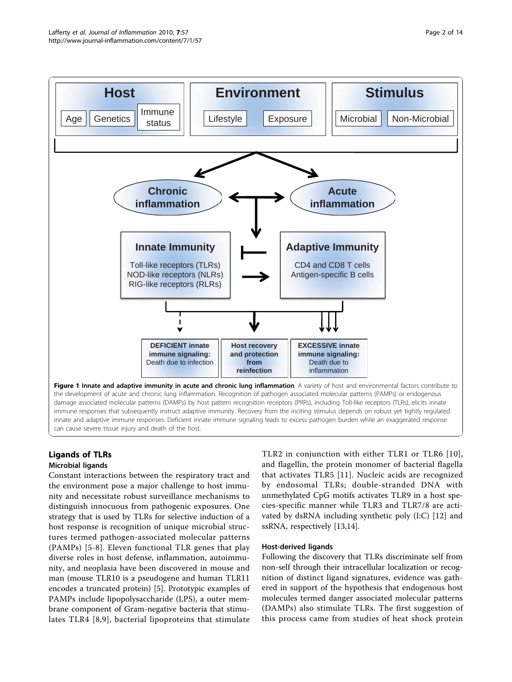<span id="page-1-0"></span>

# Ligands of TLRs

# Microbial ligands

Constant interactions between the respiratory tract and the environment pose a major challenge to host immunity and necessitate robust surveillance mechanisms to distinguish innocuous from pathogenic exposures. One strategy that is used by TLRs for selective induction of a host response is recognition of unique microbial structures termed pathogen-associated molecular patterns (PAMPs) [[5](#page-8-0)-[8](#page-8-0)]. Eleven functional TLR genes that play diverse roles in host defense, inflammation, autoimmunity, and neoplasia have been discovered in mouse and man (mouse TLR10 is a pseudogene and human TLR11 encodes a truncated protein) [\[5](#page-8-0)]. Prototypic examples of PAMPs include lipopolysaccharide (LPS), a outer membrane component of Gram-negative bacteria that stimulates TLR4 [[8](#page-8-0),[9\]](#page-8-0), bacterial lipoproteins that stimulate

TLR2 in conjunction with either TLR1 or TLR6 [[10](#page-8-0)], and flagellin, the protein monomer of bacterial flagella that activates TLR5 [[11](#page-8-0)]. Nucleic acids are recognized by endosomal TLRs; double-stranded DNA with unmethylated CpG motifs activates TLR9 in a host species-specific manner while TLR3 and TLR7/8 are activated by dsRNA including synthetic poly (I:C) [[12\]](#page-8-0) and ssRNA, respectively [[13,14](#page-8-0)].

#### Host-derived ligands

Following the discovery that TLRs discriminate self from non-self through their intracellular localization or recognition of distinct ligand signatures, evidence was gathered in support of the hypothesis that endogenous host molecules termed danger associated molecular patterns (DAMPs) also stimulate TLRs. The first suggestion of this process came from studies of heat shock protein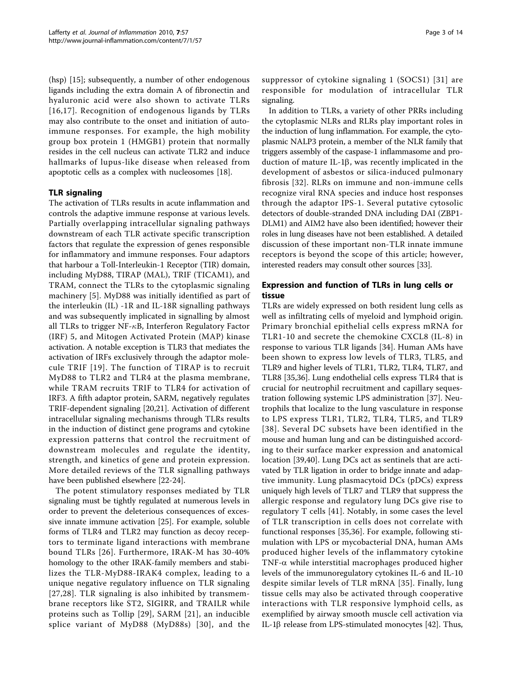(hsp) [[15\]](#page-8-0); subsequently, a number of other endogenous ligands including the extra domain A of fibronectin and hyaluronic acid were also shown to activate TLRs [[16,17\]](#page-8-0). Recognition of endogenous ligands by TLRs may also contribute to the onset and initiation of autoimmune responses. For example, the high mobility group box protein 1 (HMGB1) protein that normally resides in the cell nucleus can activate TLR2 and induce hallmarks of lupus-like disease when released from apoptotic cells as a complex with nucleosomes [\[18](#page-8-0)].

# TLR signaling

The activation of TLRs results in acute inflammation and controls the adaptive immune response at various levels. Partially overlapping intracellular signaling pathways downstream of each TLR activate specific transcription factors that regulate the expression of genes responsible for inflammatory and immune responses. Four adaptors that harbour a Toll-Interleukin-1 Receptor (TIR) domain, including MyD88, TIRAP (MAL), TRIF (TICAM1), and TRAM, connect the TLRs to the cytoplasmic signaling machinery [[5](#page-8-0)]. MyD88 was initially identified as part of the interleukin (IL) -1R and IL-18R signalling pathways and was subsequently implicated in signalling by almost all TLRs to trigger NF- $\kappa$ B, Interferon Regulatory Factor (IRF) 5, and Mitogen Activated Protein (MAP) kinase activation. A notable exception is TLR3 that mediates the activation of IRFs exclusively through the adaptor molecule TRIF [[19](#page-8-0)]. The function of TIRAP is to recruit MyD88 to TLR2 and TLR4 at the plasma membrane, while TRAM recruits TRIF to TLR4 for activation of IRF3. A fifth adaptor protein, SARM, negatively regulates TRIF-dependent signaling [[20](#page-8-0),[21](#page-8-0)]. Activation of different intracellular signaling mechanisms through TLRs results in the induction of distinct gene programs and cytokine expression patterns that control the recruitment of downstream molecules and regulate the identity, strength, and kinetics of gene and protein expression. More detailed reviews of the TLR signalling pathways have been published elsewhere [\[22](#page-8-0)-[24](#page-8-0)].

The potent stimulatory responses mediated by TLR signaling must be tightly regulated at numerous levels in order to prevent the deleterious consequences of excessive innate immune activation [[25\]](#page-8-0). For example, soluble forms of TLR4 and TLR2 may function as decoy receptors to terminate ligand interactions with membrane bound TLRs [[26\]](#page-8-0). Furthermore, IRAK-M has 30-40% homology to the other IRAK-family members and stabilizes the TLR-MyD88-IRAK4 complex, leading to a unique negative regulatory influence on TLR signaling [[27](#page-8-0),[28](#page-8-0)]. TLR signaling is also inhibited by transmembrane receptors like ST2, SIGIRR, and TRAILR while proteins such as Tollip [[29\]](#page-9-0), SARM [[21](#page-8-0)], an inducible splice variant of MyD88 (MyD88s) [[30\]](#page-9-0), and the suppressor of cytokine signaling 1 (SOCS1) [[31](#page-9-0)] are responsible for modulation of intracellular TLR signaling.

In addition to TLRs, a variety of other PRRs including the cytoplasmic NLRs and RLRs play important roles in the induction of lung inflammation. For example, the cytoplasmic NALP3 protein, a member of the NLR family that triggers assembly of the caspase-1 inflammasome and production of mature IL-1 $\beta$ , was recently implicated in the development of asbestos or silica-induced pulmonary fibrosis [[32](#page-9-0)]. RLRs on immune and non-immune cells recognize viral RNA species and induce host responses through the adaptor IPS-1. Several putative cytosolic detectors of double-stranded DNA including DAI (ZBP1- DLM1) and AIM2 have also been identified; however their roles in lung diseases have not been established. A detailed discussion of these important non-TLR innate immune receptors is beyond the scope of this article; however, interested readers may consult other sources [\[33\]](#page-9-0).

### Expression and function of TLRs in lung cells or tissue

TLRs are widely expressed on both resident lung cells as well as infiltrating cells of myeloid and lymphoid origin. Primary bronchial epithelial cells express mRNA for TLR1-10 and secrete the chemokine CXCL8 (IL-8) in response to various TLR ligands [\[34](#page-9-0)]. Human AMs have been shown to express low levels of TLR3, TLR5, and TLR9 and higher levels of TLR1, TLR2, TLR4, TLR7, and TLR8 [[35,36](#page-9-0)]. Lung endothelial cells express TLR4 that is crucial for neutrophil recruitment and capillary sequestration following systemic LPS administration [[37](#page-9-0)]. Neutrophils that localize to the lung vasculature in response to LPS express TLR1, TLR2, TLR4, TLR5, and TLR9 [[38](#page-9-0)]. Several DC subsets have been identified in the mouse and human lung and can be distinguished according to their surface marker expression and anatomical location [\[39](#page-9-0),[40\]](#page-9-0). Lung DCs act as sentinels that are activated by TLR ligation in order to bridge innate and adaptive immunity. Lung plasmacytoid DCs (pDCs) express uniquely high levels of TLR7 and TLR9 that suppress the allergic response and regulatory lung DCs give rise to regulatory T cells [[41](#page-9-0)]. Notably, in some cases the level of TLR transcription in cells does not correlate with functional responses [\[35](#page-9-0),[36\]](#page-9-0). For example, following stimulation with LPS or mycobacterial DNA, human AMs produced higher levels of the inflammatory cytokine TNF- $\alpha$  while interstitial macrophages produced higher levels of the immunoregulatory cytokines IL-6 and IL-10 despite similar levels of TLR mRNA [[35\]](#page-9-0). Finally, lung tissue cells may also be activated through cooperative interactions with TLR responsive lymphoid cells, as exemplified by airway smooth muscle cell activation via IL-1 $\beta$  release from LPS-stimulated monocytes [[42](#page-9-0)]. Thus,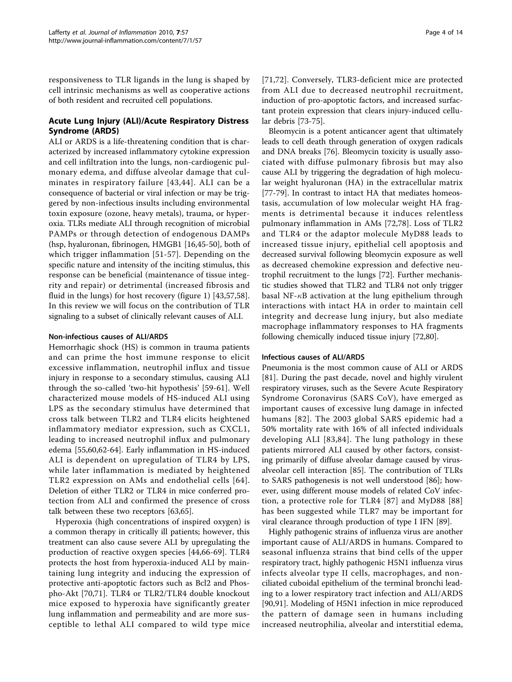responsiveness to TLR ligands in the lung is shaped by cell intrinsic mechanisms as well as cooperative actions of both resident and recruited cell populations.

### Acute Lung Injury (ALI)/Acute Respiratory Distress Syndrome (ARDS)

ALI or ARDS is a life-threatening condition that is characterized by increased inflammatory cytokine expression and cell infiltration into the lungs, non-cardiogenic pulmonary edema, and diffuse alveolar damage that culminates in respiratory failure [[43](#page-9-0),[44\]](#page-9-0). ALI can be a consequence of bacterial or viral infection or may be triggered by non-infectious insults including environmental toxin exposure (ozone, heavy metals), trauma, or hyperoxia. TLRs mediate ALI through recognition of microbial PAMPs or through detection of endogenous DAMPs (hsp, hyaluronan, fibrinogen, HMGB1 [[16,](#page-8-0)[45](#page-9-0)-[50\]](#page-9-0), both of which trigger inflammation [[51-57\]](#page-9-0). Depending on the specific nature and intensity of the inciting stimulus, this response can be beneficial (maintenance of tissue integrity and repair) or detrimental (increased fibrosis and fluid in the lungs) for host recovery (figure [1\)](#page-1-0) [[43,57,58](#page-9-0)]. In this review we will focus on the contribution of TLR signaling to a subset of clinically relevant causes of ALI.

#### Non-infectious causes of ALI/ARDS

Hemorrhagic shock (HS) is common in trauma patients and can prime the host immune response to elicit excessive inflammation, neutrophil influx and tissue injury in response to a secondary stimulus, causing ALI through the so-called 'two-hit hypothesis' [\[59](#page-9-0)-[61](#page-9-0)]. Well characterized mouse models of HS-induced ALI using LPS as the secondary stimulus have determined that cross talk between TLR2 and TLR4 elicits heightened inflammatory mediator expression, such as CXCL1, leading to increased neutrophil influx and pulmonary edema [\[55,60,62](#page-9-0)-[64\]](#page-9-0). Early inflammation in HS-induced ALI is dependent on upregulation of TLR4 by LPS, while later inflammation is mediated by heightened TLR2 expression on AMs and endothelial cells [[64\]](#page-9-0). Deletion of either TLR2 or TLR4 in mice conferred protection from ALI and confirmed the presence of cross talk between these two receptors [\[63,65\]](#page-9-0).

Hyperoxia (high concentrations of inspired oxygen) is a common therapy in critically ill patients; however, this treatment can also cause severe ALI by upregulating the production of reactive oxygen species [\[44](#page-9-0),[66-69](#page-9-0)]. TLR4 protects the host from hyperoxia-induced ALI by maintaining lung integrity and inducing the expression of protective anti-apoptotic factors such as Bcl2 and Phospho-Akt [[70,71\]](#page-9-0). TLR4 or TLR2/TLR4 double knockout mice exposed to hyperoxia have significantly greater lung inflammation and permeability and are more susceptible to lethal ALI compared to wild type mice [[71](#page-9-0)[,72\]](#page-10-0). Conversely, TLR3-deficient mice are protected from ALI due to decreased neutrophil recruitment, induction of pro-apoptotic factors, and increased surfactant protein expression that clears injury-induced cellular debris [[73](#page-10-0)-[75\]](#page-10-0).

Bleomycin is a potent anticancer agent that ultimately leads to cell death through generation of oxygen radicals and DNA breaks [[76\]](#page-10-0). Bleomycin toxicity is usually associated with diffuse pulmonary fibrosis but may also cause ALI by triggering the degradation of high molecular weight hyaluronan (HA) in the extracellular matrix [[77-79](#page-10-0)]. In contrast to intact HA that mediates homeostasis, accumulation of low molecular weight HA fragments is detrimental because it induces relentless pulmonary inflammation in AMs [[72,78\]](#page-10-0). Loss of TLR2 and TLR4 or the adaptor molecule MyD88 leads to increased tissue injury, epithelial cell apoptosis and decreased survival following bleomycin exposure as well as decreased chemokine expression and defective neutrophil recruitment to the lungs [[72\]](#page-10-0). Further mechanistic studies showed that TLR2 and TLR4 not only trigger basal NF- $\kappa$ B activation at the lung epithelium through interactions with intact HA in order to maintain cell integrity and decrease lung injury, but also mediate macrophage inflammatory responses to HA fragments following chemically induced tissue injury [\[72,80](#page-10-0)].

#### Infectious causes of ALI/ARDS

Pneumonia is the most common cause of ALI or ARDS [[81](#page-10-0)]. During the past decade, novel and highly virulent respiratory viruses, such as the Severe Acute Respiratory Syndrome Coronavirus (SARS CoV), have emerged as important causes of excessive lung damage in infected humans [[82](#page-10-0)]. The 2003 global SARS epidemic had a 50% mortality rate with 16% of all infected individuals developing ALI [[83](#page-10-0),[84](#page-10-0)]. The lung pathology in these patients mirrored ALI caused by other factors, consisting primarily of diffuse alveolar damage caused by virusalveolar cell interaction [\[85](#page-10-0)]. The contribution of TLRs to SARS pathogenesis is not well understood [[86\]](#page-10-0); however, using different mouse models of related CoV infection, a protective role for TLR4 [[87](#page-10-0)] and MyD88 [[88](#page-10-0)] has been suggested while TLR7 may be important for viral clearance through production of type I IFN [[89](#page-10-0)].

Highly pathogenic strains of influenza virus are another important cause of ALI/ARDS in humans. Compared to seasonal influenza strains that bind cells of the upper respiratory tract, highly pathogenic H5N1 influenza virus infects alveolar type II cells, macrophages, and nonciliated cuboidal epithelium of the terminal bronchi leading to a lower respiratory tract infection and ALI/ARDS [[90,91\]](#page-10-0). Modeling of H5N1 infection in mice reproduced the pattern of damage seen in humans including increased neutrophilia, alveolar and interstitial edema,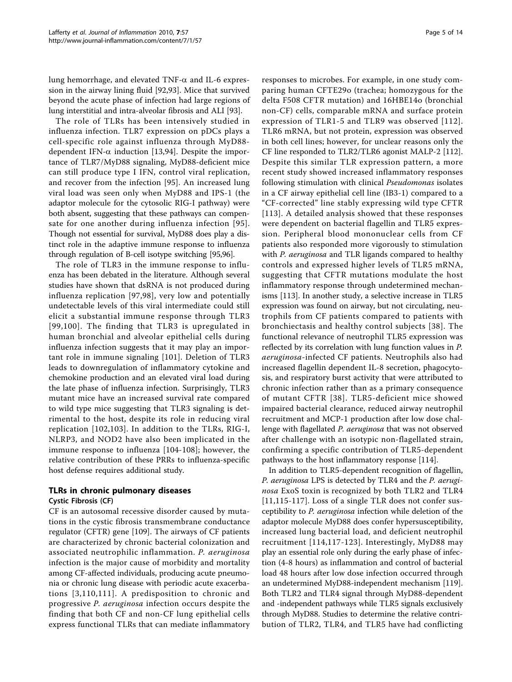lung hemorrhage, and elevated TNF- $\alpha$  and IL-6 expression in the airway lining fluid [[92,93\]](#page-10-0). Mice that survived beyond the acute phase of infection had large regions of lung interstitial and intra-alveolar fibrosis and ALI [\[93\]](#page-10-0).

The role of TLRs has been intensively studied in influenza infection. TLR7 expression on pDCs plays a cell-specific role against influenza through MyD88 dependent IFN- $\alpha$  induction [[13,](#page-8-0)[94\]](#page-10-0). Despite the importance of TLR7/MyD88 signaling, MyD88-deficient mice can still produce type I IFN, control viral replication, and recover from the infection [\[95](#page-10-0)]. An increased lung viral load was seen only when MyD88 and IPS-1 (the adaptor molecule for the cytosolic RIG-I pathway) were both absent, suggesting that these pathways can compensate for one another during influenza infection [\[95\]](#page-10-0). Though not essential for survival, MyD88 does play a distinct role in the adaptive immune response to influenza through regulation of B-cell isotype switching [\[95](#page-10-0),[96](#page-10-0)].

The role of TLR3 in the immune response to influenza has been debated in the literature. Although several studies have shown that dsRNA is not produced during influenza replication [[97](#page-10-0),[98\]](#page-10-0), very low and potentially undetectable levels of this viral intermediate could still elicit a substantial immune response through TLR3 [[99](#page-10-0),[100\]](#page-10-0). The finding that TLR3 is upregulated in human bronchial and alveolar epithelial cells during influenza infection suggests that it may play an important role in immune signaling [\[101\]](#page-10-0). Deletion of TLR3 leads to downregulation of inflammatory cytokine and chemokine production and an elevated viral load during the late phase of influenza infection. Surprisingly, TLR3 mutant mice have an increased survival rate compared to wild type mice suggesting that TLR3 signaling is detrimental to the host, despite its role in reducing viral replication [[102,103\]](#page-10-0). In addition to the TLRs, RIG-I, NLRP3, and NOD2 have also been implicated in the immune response to influenza [[104](#page-10-0)-[108](#page-10-0)]; however, the relative contribution of these PRRs to influenza-specific host defense requires additional study.

# TLRs in chronic pulmonary diseases

#### Cystic Fibrosis (CF)

CF is an autosomal recessive disorder caused by mutations in the cystic fibrosis transmembrane conductance regulator (CFTR) gene [\[109](#page-10-0)]. The airways of CF patients are characterized by chronic bacterial colonization and associated neutrophilic inflammation. P. aeruginosa infection is the major cause of morbidity and mortality among CF-affected individuals, producing acute pneumonia or chronic lung disease with periodic acute exacerbations [[3,](#page-8-0)[110](#page-10-0),[111](#page-10-0)]. A predisposition to chronic and progressive P. aeruginosa infection occurs despite the finding that both CF and non-CF lung epithelial cells express functional TLRs that can mediate inflammatory responses to microbes. For example, in one study comparing human CFTE29o (trachea; homozygous for the delta F508 CFTR mutation) and 16HBE14o (bronchial non-CF) cells, comparable mRNA and surface protein expression of TLR1-5 and TLR9 was observed [[112\]](#page-10-0). TLR6 mRNA, but not protein, expression was observed in both cell lines; however, for unclear reasons only the CF line responded to TLR2/TLR6 agonist MALP-2 [[112](#page-10-0)]. Despite this similar TLR expression pattern, a more recent study showed increased inflammatory responses following stimulation with clinical *Pseudomonas* isolates in a CF airway epithelial cell line (IB3-1) compared to a "CF-corrected" line stably expressing wild type CFTR [[113\]](#page-10-0). A detailed analysis showed that these responses were dependent on bacterial flagellin and TLR5 expression. Peripheral blood mononuclear cells from CF patients also responded more vigorously to stimulation with P. aeruginosa and TLR ligands compared to healthy controls and expressed higher levels of TLR5 mRNA, suggesting that CFTR mutations modulate the host inflammatory response through undetermined mechanisms [\[113\]](#page-10-0). In another study, a selective increase in TLR5 expression was found on airway, but not circulating, neutrophils from CF patients compared to patients with bronchiectasis and healthy control subjects [[38\]](#page-9-0). The functional relevance of neutrophil TLR5 expression was reflected by its correlation with lung function values in P. aeruginosa-infected CF patients. Neutrophils also had increased flagellin dependent IL-8 secretion, phagocytosis, and respiratory burst activity that were attributed to chronic infection rather than as a primary consequence of mutant CFTR [[38](#page-9-0)]. TLR5-deficient mice showed impaired bacterial clearance, reduced airway neutrophil recruitment and MCP-1 production after low dose challenge with flagellated P. aeruginosa that was not observed after challenge with an isotypic non-flagellated strain, confirming a specific contribution of TLR5-dependent pathways to the host inflammatory response [\[114\]](#page-10-0).

In addition to TLR5-dependent recognition of flagellin, P. aeruginosa LPS is detected by TLR4 and the P. aeruginosa ExoS toxin is recognized by both TLR2 and TLR4 [[11](#page-8-0),[115](#page-10-0)[-117\]](#page-11-0). Loss of a single TLR does not confer susceptibility to P. aeruginosa infection while deletion of the adaptor molecule MyD88 does confer hypersusceptibility, increased lung bacterial load, and deficient neutrophil recruitment [[114,](#page-10-0)[117-123](#page-11-0)]. Interestingly, MyD88 may play an essential role only during the early phase of infection (4-8 hours) as inflammation and control of bacterial load 48 hours after low dose infection occurred through an undetermined MyD88-independent mechanism [\[119](#page-11-0)]. Both TLR2 and TLR4 signal through MyD88-dependent and -independent pathways while TLR5 signals exclusively through MyD88. Studies to determine the relative contribution of TLR2, TLR4, and TLR5 have had conflicting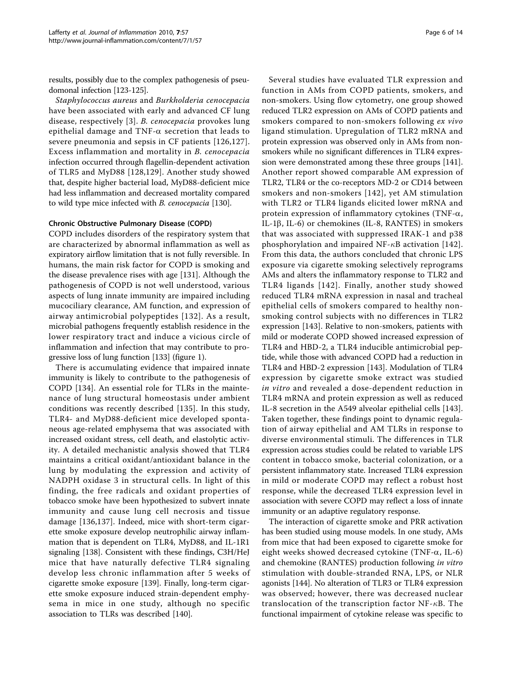results, possibly due to the complex pathogenesis of pseudomonal infection [\[123-125](#page-11-0)].

Staphylococcus aureus and Burkholderia cenocepacia have been associated with early and advanced CF lung disease, respectively [[3\]](#page-8-0). B. cenocepacia provokes lung epithelial damage and TNF- $\alpha$  secretion that leads to severe pneumonia and sepsis in CF patients [[126](#page-11-0),[127](#page-11-0)]. Excess inflammation and mortality in B. cenocepacia infection occurred through flagellin-dependent activation of TLR5 and MyD88 [[128](#page-11-0),[129](#page-11-0)]. Another study showed that, despite higher bacterial load, MyD88-deficient mice had less inflammation and decreased mortality compared to wild type mice infected with B. cenocepacia [[130](#page-11-0)].

#### Chronic Obstructive Pulmonary Disease (COPD)

COPD includes disorders of the respiratory system that are characterized by abnormal inflammation as well as expiratory airflow limitation that is not fully reversible. In humans, the main risk factor for COPD is smoking and the disease prevalence rises with age [[131\]](#page-11-0). Although the pathogenesis of COPD is not well understood, various aspects of lung innate immunity are impaired including mucociliary clearance, AM function, and expression of airway antimicrobial polypeptides [[132\]](#page-11-0). As a result, microbial pathogens frequently establish residence in the lower respiratory tract and induce a vicious circle of inflammation and infection that may contribute to progressive loss of lung function [\[133\]](#page-11-0) (figure [1\)](#page-1-0).

There is accumulating evidence that impaired innate immunity is likely to contribute to the pathogenesis of COPD [[134\]](#page-11-0). An essential role for TLRs in the maintenance of lung structural homeostasis under ambient conditions was recently described [[135\]](#page-11-0). In this study, TLR4- and MyD88-deficient mice developed spontaneous age-related emphysema that was associated with increased oxidant stress, cell death, and elastolytic activity. A detailed mechanistic analysis showed that TLR4 maintains a critical oxidant/antioxidant balance in the lung by modulating the expression and activity of NADPH oxidase 3 in structural cells. In light of this finding, the free radicals and oxidant properties of tobacco smoke have been hypothesized to subvert innate immunity and cause lung cell necrosis and tissue damage [[136,137](#page-11-0)]. Indeed, mice with short-term cigarette smoke exposure develop neutrophilic airway inflammation that is dependent on TLR4, MyD88, and IL-1R1 signaling [\[138\]](#page-11-0). Consistent with these findings, C3H/HeJ mice that have naturally defective TLR4 signaling develop less chronic inflammation after 5 weeks of cigarette smoke exposure [[139](#page-11-0)]. Finally, long-term cigarette smoke exposure induced strain-dependent emphysema in mice in one study, although no specific association to TLRs was described [\[140\]](#page-11-0).

Several studies have evaluated TLR expression and function in AMs from COPD patients, smokers, and non-smokers. Using flow cytometry, one group showed reduced TLR2 expression on AMs of COPD patients and smokers compared to non-smokers following ex vivo ligand stimulation. Upregulation of TLR2 mRNA and protein expression was observed only in AMs from nonsmokers while no significant differences in TLR4 expression were demonstrated among these three groups [\[141](#page-11-0)]. Another report showed comparable AM expression of TLR2, TLR4 or the co-receptors MD-2 or CD14 between smokers and non-smokers [[142](#page-11-0)], yet AM stimulation with TLR2 or TLR4 ligands elicited lower mRNA and protein expression of inflammatory cytokines (TNF- $\alpha$ , IL-1 $\beta$ , IL-6) or chemokines (IL-8, RANTES) in smokers that was associated with suppressed IRAK-1 and p38 phosphorylation and impaired NF- $\kappa$ B activation [[142](#page-11-0)]. From this data, the authors concluded that chronic LPS exposure via cigarette smoking selectively reprograms AMs and alters the inflammatory response to TLR2 and TLR4 ligands [[142](#page-11-0)]. Finally, another study showed reduced TLR4 mRNA expression in nasal and tracheal epithelial cells of smokers compared to healthy nonsmoking control subjects with no differences in TLR2 expression [[143\]](#page-11-0). Relative to non-smokers, patients with mild or moderate COPD showed increased expression of TLR4 and HBD-2, a TLR4 inducible antimicrobial peptide, while those with advanced COPD had a reduction in TLR4 and HBD-2 expression [\[143](#page-11-0)]. Modulation of TLR4 expression by cigarette smoke extract was studied in vitro and revealed a dose-dependent reduction in TLR4 mRNA and protein expression as well as reduced IL-8 secretion in the A549 alveolar epithelial cells [\[143](#page-11-0)]. Taken together, these findings point to dynamic regulation of airway epithelial and AM TLRs in response to diverse environmental stimuli. The differences in TLR expression across studies could be related to variable LPS content in tobacco smoke, bacterial colonization, or a persistent inflammatory state. Increased TLR4 expression in mild or moderate COPD may reflect a robust host response, while the decreased TLR4 expression level in association with severe COPD may reflect a loss of innate immunity or an adaptive regulatory response.

The interaction of cigarette smoke and PRR activation has been studied using mouse models. In one study, AMs from mice that had been exposed to cigarette smoke for eight weeks showed decreased cytokine (TNF- $\alpha$ , IL-6) and chemokine (RANTES) production following in vitro stimulation with double-stranded RNA, LPS, or NLR agonists [\[144\]](#page-11-0). No alteration of TLR3 or TLR4 expression was observed; however, there was decreased nuclear translocation of the transcription factor NF- $\kappa$ B. The functional impairment of cytokine release was specific to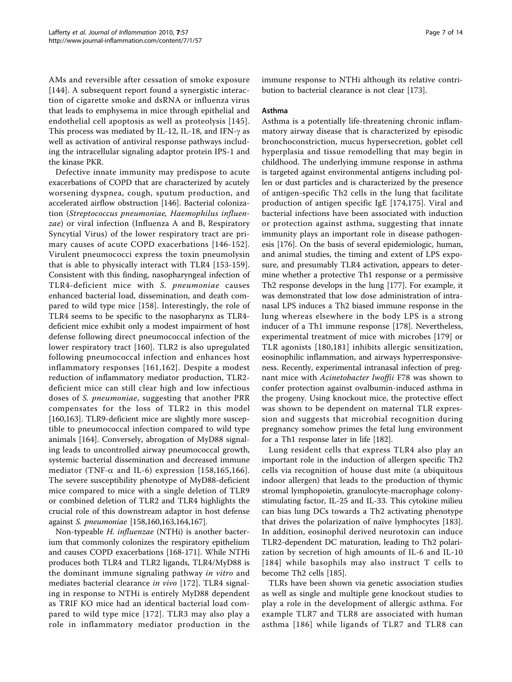AMs and reversible after cessation of smoke exposure [[144](#page-11-0)]. A subsequent report found a synergistic interaction of cigarette smoke and dsRNA or influenza virus that leads to emphysema in mice through epithelial and endothelial cell apoptosis as well as proteolysis [[145\]](#page-11-0). This process was mediated by IL-12, IL-18, and IFN- $\gamma$  as well as activation of antiviral response pathways including the intracellular signaling adaptor protein IPS-1 and the kinase PKR.

Defective innate immunity may predispose to acute exacerbations of COPD that are characterized by acutely worsening dyspnea, cough, sputum production, and accelerated airflow obstruction [[146](#page-11-0)]. Bacterial colonization (Streptococcus pneumoniae, Haemophilus influenzae) or viral infection (Influenza A and B, Respiratory Syncytial Virus) of the lower respiratory tract are primary causes of acute COPD exacerbations [[146-152\]](#page-11-0). Virulent pneumococci express the toxin pneumolysin that is able to physically interact with TLR4 [\[153](#page-11-0)-[159](#page-12-0)]. Consistent with this finding, nasopharyngeal infection of TLR4-deficient mice with S. pneumoniae causes enhanced bacterial load, dissemination, and death compared to wild type mice [\[158](#page-11-0)]. Interestingly, the role of TLR4 seems to be specific to the nasopharynx as TLR4 deficient mice exhibit only a modest impairment of host defense following direct pneumococcal infection of the lower respiratory tract [\[160](#page-12-0)]. TLR2 is also upregulated following pneumococcal infection and enhances host inflammatory responses [[161](#page-12-0),[162\]](#page-12-0). Despite a modest reduction of inflammatory mediator production, TLR2 deficient mice can still clear high and low infectious doses of *S. pneumoniae*, suggesting that another PRR compensates for the loss of TLR2 in this model [[160,163](#page-12-0)]. TLR9-deficient mice are slightly more susceptible to pneumococcal infection compared to wild type animals [[164\]](#page-12-0). Conversely, abrogation of MyD88 signaling leads to uncontrolled airway pneumococcal growth, systemic bacterial dissemination and decreased immune mediator (TNF- $\alpha$  and IL-6) expression [[158](#page-11-0),[165,166\]](#page-12-0). The severe susceptibility phenotype of MyD88-deficient mice compared to mice with a single deletion of TLR9 or combined deletion of TLR2 and TLR4 highlights the crucial role of this downstream adaptor in host defense against S. pneumoniae [\[158](#page-11-0)[,160,163,164,167](#page-12-0)].

Non-typeable H. influenzae (NTHi) is another bacterium that commonly colonizes the respiratory epithelium and causes COPD exacerbations [[168](#page-12-0)-[171\]](#page-12-0). While NTHi produces both TLR4 and TLR2 ligands, TLR4/MyD88 is the dominant immune signaling pathway in vitro and mediates bacterial clearance in vivo [[172\]](#page-12-0). TLR4 signaling in response to NTHi is entirely MyD88 dependent as TRIF KO mice had an identical bacterial load compared to wild type mice [\[172](#page-12-0)]. TLR3 may also play a role in inflammatory mediator production in the immune response to NTHi although its relative contribution to bacterial clearance is not clear [[173\]](#page-12-0).

#### Asthma

Asthma is a potentially life-threatening chronic inflammatory airway disease that is characterized by episodic bronchoconstriction, mucus hypersecretion, goblet cell hyperplasia and tissue remodelling that may begin in childhood. The underlying immune response in asthma is targeted against environmental antigens including pollen or dust particles and is characterized by the presence of antigen-specific Th2 cells in the lung that facilitate production of antigen specific IgE [[174](#page-12-0),[175\]](#page-12-0). Viral and bacterial infections have been associated with induction or protection against asthma, suggesting that innate immunity plays an important role in disease pathogenesis [[176](#page-12-0)]. On the basis of several epidemiologic, human, and animal studies, the timing and extent of LPS exposure, and presumably TLR4 activation, appears to determine whether a protective Th1 response or a permissive Th2 response develops in the lung [\[177](#page-12-0)]. For example, it was demonstrated that low dose administration of intranasal LPS induces a Th2 biased immune response in the lung whereas elsewhere in the body LPS is a strong inducer of a Th1 immune response [[178\]](#page-12-0). Nevertheless, experimental treatment of mice with microbes [[179](#page-12-0)] or TLR agonists [[180](#page-12-0),[181](#page-12-0)] inhibits allergic sensitization, eosinophilic inflammation, and airways hyperresponsiveness. Recently, experimental intranasal infection of pregnant mice with Acinetobacter lwoffii F78 was shown to confer protection against ovalbumin-induced asthma in the progeny. Using knockout mice, the protective effect was shown to be dependent on maternal TLR expression and suggests that microbial recognition during pregnancy somehow primes the fetal lung environment for a Th1 response later in life [\[182\]](#page-12-0).

Lung resident cells that express TLR4 also play an important role in the induction of allergen specific Th2 cells via recognition of house dust mite (a ubiquitous indoor allergen) that leads to the production of thymic stromal lymphopoietin, granulocyte-macrophage colonystimulating factor, IL-25 and IL-33. This cytokine milieu can bias lung DCs towards a Th2 activating phenotype that drives the polarization of naïve lymphocytes [\[183](#page-12-0)]. In addition, eosinophil derived neurotoxin can induce TLR2-dependent DC maturation, leading to Th2 polarization by secretion of high amounts of IL-6 and IL-10 [[184](#page-12-0)] while basophils may also instruct T cells to become Th2 cells [\[185\]](#page-12-0).

TLRs have been shown via genetic association studies as well as single and multiple gene knockout studies to play a role in the development of allergic asthma. For example TLR7 and TLR8 are associated with human asthma [[186\]](#page-12-0) while ligands of TLR7 and TLR8 can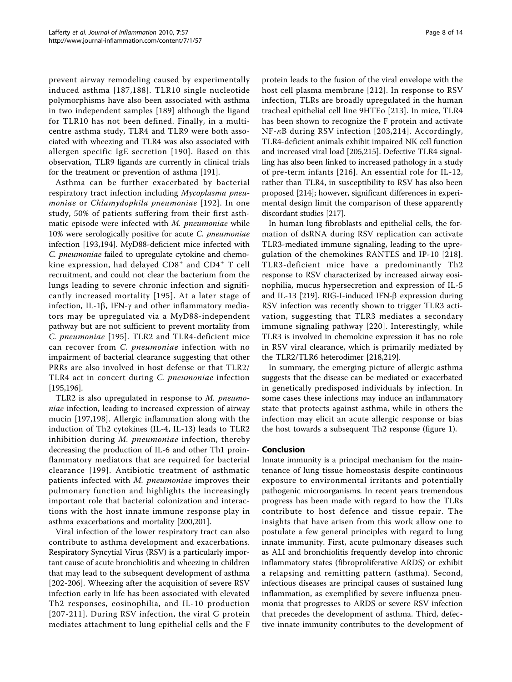prevent airway remodeling caused by experimentally induced asthma [[187](#page-12-0),[188](#page-12-0)]. TLR10 single nucleotide polymorphisms have also been associated with asthma in two independent samples [[189\]](#page-12-0) although the ligand for TLR10 has not been defined. Finally, in a multicentre asthma study, TLR4 and TLR9 were both associated with wheezing and TLR4 was also associated with allergen specific IgE secretion [[190](#page-12-0)]. Based on this observation, TLR9 ligands are currently in clinical trials for the treatment or prevention of asthma [\[191\]](#page-12-0).

Asthma can be further exacerbated by bacterial respiratory tract infection including Mycoplasma pneumoniae or Chlamydophila pneumoniae [[192](#page-12-0)]. In one study, 50% of patients suffering from their first asthmatic episode were infected with M. pneumoniae while 10% were serologically positive for acute C. pneumoniae infection [[193](#page-12-0),[194\]](#page-12-0). MyD88-deficient mice infected with C. pneumoniae failed to upregulate cytokine and chemokine expression, had delayed  $CDS<sup>+</sup>$  and  $CD4<sup>+</sup>$  T cell recruitment, and could not clear the bacterium from the lungs leading to severe chronic infection and significantly increased mortality [[195](#page-12-0)]. At a later stage of infection, IL-1 $\beta$ , IFN- $\gamma$  and other inflammatory mediators may be upregulated via a MyD88-independent pathway but are not sufficient to prevent mortality from C. pneumoniae [[195\]](#page-12-0). TLR2 and TLR4-deficient mice can recover from C. pneumoniae infection with no impairment of bacterial clearance suggesting that other PRRs are also involved in host defense or that TLR2/ TLR4 act in concert during C. pneumoniae infection [[195](#page-12-0),[196](#page-13-0)].

TLR2 is also upregulated in response to M. pneumoniae infection, leading to increased expression of airway mucin [[197](#page-13-0),[198\]](#page-13-0). Allergic inflammation along with the induction of Th2 cytokines (IL-4, IL-13) leads to TLR2 inhibition during M. pneumoniae infection, thereby decreasing the production of IL-6 and other Th1 proinflammatory mediators that are required for bacterial clearance [[199](#page-13-0)]. Antibiotic treatment of asthmatic patients infected with M. pneumoniae improves their pulmonary function and highlights the increasingly important role that bacterial colonization and interactions with the host innate immune response play in asthma exacerbations and mortality [\[200,201\]](#page-13-0).

Viral infection of the lower respiratory tract can also contribute to asthma development and exacerbations. Respiratory Syncytial Virus (RSV) is a particularly important cause of acute bronchiolitis and wheezing in children that may lead to the subsequent development of asthma [[202-206\]](#page-13-0). Wheezing after the acquisition of severe RSV infection early in life has been associated with elevated Th2 responses, eosinophilia, and IL-10 production [[207](#page-13-0)-[211](#page-13-0)]. During RSV infection, the viral G protein mediates attachment to lung epithelial cells and the F

protein leads to the fusion of the viral envelope with the host cell plasma membrane [[212\]](#page-13-0). In response to RSV infection, TLRs are broadly upregulated in the human tracheal epithelial cell line 9HTEo [[213\]](#page-13-0). In mice, TLR4 has been shown to recognize the F protein and activate  $NF- $\kappa$ B during RSV infection [203,214]. Accordingly,$  $NF- $\kappa$ B during RSV infection [203,214]. Accordingly,$  $NF- $\kappa$ B during RSV infection [203,214]. Accordingly,$ TLR4-deficient animals exhibit impaired NK cell function and increased viral load [[205,215\]](#page-13-0). Defective TLR4 signalling has also been linked to increased pathology in a study of pre-term infants [[216\]](#page-13-0). An essential role for IL-12, rather than TLR4, in susceptibility to RSV has also been proposed [[214](#page-13-0)]; however, significant differences in experimental design limit the comparison of these apparently discordant studies [\[217\]](#page-13-0).

In human lung fibroblasts and epithelial cells, the formation of dsRNA during RSV replication can activate TLR3-mediated immune signaling, leading to the upregulation of the chemokines RANTES and IP-10 [[218](#page-13-0)]. TLR3-deficient mice have a predominantly Th2 response to RSV characterized by increased airway eosinophilia, mucus hypersecretion and expression of IL-5 and IL-13 [[219](#page-13-0)]. RIG-I-induced IFN- $\beta$  expression during RSV infection was recently shown to trigger TLR3 activation, suggesting that TLR3 mediates a secondary immune signaling pathway [[220](#page-13-0)]. Interestingly, while TLR3 is involved in chemokine expression it has no role in RSV viral clearance, which is primarily mediated by the TLR2/TLR6 heterodimer [[218,219](#page-13-0)].

In summary, the emerging picture of allergic asthma suggests that the disease can be mediated or exacerbated in genetically predisposed individuals by infection. In some cases these infections may induce an inflammatory state that protects against asthma, while in others the infection may elicit an acute allergic response or bias the host towards a subsequent Th2 response (figure [1\)](#page-1-0).

#### Conclusion

Innate immunity is a principal mechanism for the maintenance of lung tissue homeostasis despite continuous exposure to environmental irritants and potentially pathogenic microorganisms. In recent years tremendous progress has been made with regard to how the TLRs contribute to host defence and tissue repair. The insights that have arisen from this work allow one to postulate a few general principles with regard to lung innate immunity. First, acute pulmonary diseases such as ALI and bronchiolitis frequently develop into chronic inflammatory states (fibroproliferative ARDS) or exhibit a relapsing and remitting pattern (asthma). Second, infectious diseases are principal causes of sustained lung inflammation, as exemplified by severe influenza pneumonia that progresses to ARDS or severe RSV infection that precedes the development of asthma. Third, defective innate immunity contributes to the development of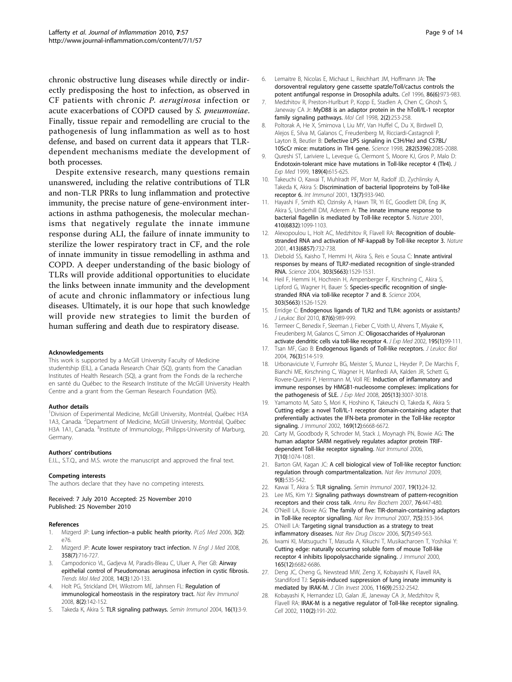<span id="page-8-0"></span>chronic obstructive lung diseases while directly or indirectly predisposing the host to infection, as observed in CF patients with chronic P. aeruginosa infection or acute exacerbations of COPD caused by S. pneumoniae. Finally, tissue repair and remodelling are crucial to the pathogenesis of lung inflammation as well as to host defense, and based on current data it appears that TLRdependent mechanisms mediate the development of both processes.

Despite extensive research, many questions remain unanswered, including the relative contributions of TLR and non-TLR PRRs to lung inflammation and protective immunity, the precise nature of gene-environment interactions in asthma pathogenesis, the molecular mechanisms that negatively regulate the innate immune response during ALI, the failure of innate immunity to sterilize the lower respiratory tract in CF, and the role of innate immunity in tissue remodelling in asthma and COPD. A deeper understanding of the basic biology of TLRs will provide additional opportunities to elucidate the links between innate immunity and the development of acute and chronic inflammatory or infectious lung diseases. Ultimately, it is our hope that such knowledge will provide new strategies to limit the burden of human suffering and death due to respiratory disease.

#### Acknowledgements

This work is supported by a McGill University Faculty of Medicine studentship (EIL), a Canada Research Chair (SQ), grants from the Canadian Institutes of Health Research (SQ), a grant from the Fonds de la recherche en santé du Québec to the Research Institute of the McGill University Health Centre and a grant from the German Research Foundation (MS).

#### Author details

<sup>1</sup> Division of Experimental Medicine, McGill University, Montréal, Québec H3A 1A3, Canada. <sup>2</sup>Department of Medicine, McGill University, Montréal, Québec H3A 1A1, Canada. <sup>3</sup>Institute of Immunology, Philipps-University of Marburg, Germany.

#### Authors' contributions

E.I.L., S.T.Q., and M.S. wrote the manuscript and approved the final text.

#### Competing interests

The authors declare that they have no competing interests.

Received: 7 July 2010 Accepted: 25 November 2010 Published: 25 November 2010

#### References

- 1. Mizgerd JP: Lung infection-[a public health priority.](http://www.ncbi.nlm.nih.gov/pubmed/16401173?dopt=Abstract) PLoS Med 2006, 3(2): e76.
- Mizgerd JP: [Acute lower respiratory tract infection.](http://www.ncbi.nlm.nih.gov/pubmed/18272895?dopt=Abstract) N Engl J Med 2008, 358(7):716-727.
- Campodonico VL, Gadjeva M, Paradis-Bleau C, Uluer A, Pier GB: [Airway](http://www.ncbi.nlm.nih.gov/pubmed/18262467?dopt=Abstract) [epithelial control of Pseudomonas aeruginosa infection in cystic fibrosis.](http://www.ncbi.nlm.nih.gov/pubmed/18262467?dopt=Abstract) Trends Mol Med 2008, 14(3):120-133.
- Holt PG, Strickland DH, Wikstrom ME, Jahnsen FL: [Regulation of](http://www.ncbi.nlm.nih.gov/pubmed/18204469?dopt=Abstract) [immunological homeostasis in the respiratory tract.](http://www.ncbi.nlm.nih.gov/pubmed/18204469?dopt=Abstract) Nat Rev Immunol 2008, 8(2):142-152.
- 5. Takeda K, Akira S: [TLR signaling pathways.](http://www.ncbi.nlm.nih.gov/pubmed/14751757?dopt=Abstract) Semin Immunol 2004, 16(1):3-9.
- 6. Lemaitre B, Nicolas E, Michaut L, Reichhart JM, Hoffmann JA: [The](http://www.ncbi.nlm.nih.gov/pubmed/8808632?dopt=Abstract) [dorsoventral regulatory gene cassette spatzle/Toll/cactus controls the](http://www.ncbi.nlm.nih.gov/pubmed/8808632?dopt=Abstract) [potent antifungal response in Drosophila adults.](http://www.ncbi.nlm.nih.gov/pubmed/8808632?dopt=Abstract) Cell 1996, 86(6):973-983.
- 7. Medzhitov R, Preston-Hurlburt P, Kopp E, Stadlen A, Chen C, Ghosh S, Janeway CA Jr: [MyD88 is an adaptor protein in the hToll/IL-1 receptor](http://www.ncbi.nlm.nih.gov/pubmed/9734363?dopt=Abstract) [family signaling pathways.](http://www.ncbi.nlm.nih.gov/pubmed/9734363?dopt=Abstract) Mol Cell 1998, 2(2):253-258.
- 8. Poltorak A, He X, Smirnova I, Liu MY, Van Huffel C, Du X, Birdwell D, Alejos E, Silva M, Galanos C, Freudenberg M, Ricciardi-Castagnoli P, Layton B, Beutler B: [Defective LPS signaling in C3H/HeJ and C57BL/](http://www.ncbi.nlm.nih.gov/pubmed/9851930?dopt=Abstract) [10ScCr mice: mutations in Tlr4 gene.](http://www.ncbi.nlm.nih.gov/pubmed/9851930?dopt=Abstract) Science 1998, 282(5396):2085-2088.
- 9. Qureshi ST, Lariviere L, Leveque G, Clermont S, Moore KJ, Gros P, Malo D: [Endotoxin-tolerant mice have mutations in Toll-like receptor 4 \(Tlr4\).](http://www.ncbi.nlm.nih.gov/pubmed/9989976?dopt=Abstract) J Exp Med 1999, 189(4):615-625.
- 10. Takeuchi O, Kawai T, Muhlradt PF, Morr M, Radolf JD, Zychlinsky A, Takeda K, Akira S: [Discrimination of bacterial lipoproteins by Toll-like](http://www.ncbi.nlm.nih.gov/pubmed/11431423?dopt=Abstract) [receptor 6.](http://www.ncbi.nlm.nih.gov/pubmed/11431423?dopt=Abstract) Int Immunol 2001, 13(7):933-940.
- 11. Hayashi F, Smith KD, Ozinsky A, Hawn TR, Yi EC, Goodlett DR, Eng JK, Akira S, Underhill DM, Aderem A: [The innate immune response to](http://www.ncbi.nlm.nih.gov/pubmed/11323673?dopt=Abstract) [bacterial flagellin is mediated by Toll-like receptor 5.](http://www.ncbi.nlm.nih.gov/pubmed/11323673?dopt=Abstract) Nature 2001, 410(6832):1099-1103.
- 12. Alexopoulou L, Holt AC, Medzhitov R, Flavell RA: [Recognition of double](http://www.ncbi.nlm.nih.gov/pubmed/11607032?dopt=Abstract)[stranded RNA and activation of NF-kappaB by Toll-like receptor 3.](http://www.ncbi.nlm.nih.gov/pubmed/11607032?dopt=Abstract) Nature 2001, 413(6857):732-738.
- 13. Diebold SS, Kaisho T, Hemmi H, Akira S, Reis e Sousa C: [Innate antiviral](http://www.ncbi.nlm.nih.gov/pubmed/14976261?dopt=Abstract) [responses by means of TLR7-mediated recognition of single-stranded](http://www.ncbi.nlm.nih.gov/pubmed/14976261?dopt=Abstract) [RNA.](http://www.ncbi.nlm.nih.gov/pubmed/14976261?dopt=Abstract) Science 2004, 303(5663):1529-1531.
- 14. Heil F, Hemmi H, Hochrein H, Ampenberger F, Kirschning C, Akira S, Lipford G, Wagner H, Bauer S: [Species-specific recognition of single](http://www.ncbi.nlm.nih.gov/pubmed/14976262?dopt=Abstract)[stranded RNA via toll-like receptor 7 and 8.](http://www.ncbi.nlm.nih.gov/pubmed/14976262?dopt=Abstract) Science 2004, 303(5663):1526-1529.
- 15. Erridge C: [Endogenous ligands of TLR2 and TLR4: agonists or assistants?](http://www.ncbi.nlm.nih.gov/pubmed/20179153?dopt=Abstract) J Leukoc Biol 2010, 87(6):989-999.
- 16. Termeer C, Benedix F, Sleeman J, Fieber C, Voith U, Ahrens T, Miyake K, Freudenberg M, Galanos C, Simon JC: [Oligosaccharides of Hyaluronan](http://www.ncbi.nlm.nih.gov/pubmed/11781369?dopt=Abstract) [activate dendritic cells via toll-like receptor 4.](http://www.ncbi.nlm.nih.gov/pubmed/11781369?dopt=Abstract) J Exp Med 2002, 195(1):99-111.
- 17. Tsan MF, Gao B: [Endogenous ligands of Toll-like receptors.](http://www.ncbi.nlm.nih.gov/pubmed/15178705?dopt=Abstract) J Leukoc Biol 2004, 76(3):514-519.
- 18. Urbonaviciute V, Furnrohr BG, Meister S, Munoz L, Heyder P, De Marchis F, Bianchi ME, Kirschning C, Wagner H, Manfredi AA, Kalden JR, Schett G, Rovere-Querini P, Herrmann M, Voll RE: [Induction of inflammatory and](http://www.ncbi.nlm.nih.gov/pubmed/19064698?dopt=Abstract) [immune responses by HMGB1-nucleosome complexes: implications for](http://www.ncbi.nlm.nih.gov/pubmed/19064698?dopt=Abstract) [the pathogenesis of SLE.](http://www.ncbi.nlm.nih.gov/pubmed/19064698?dopt=Abstract) J Exp Med 2008, 205(13):3007-3018.
- 19. Yamamoto M, Sato S, Mori K, Hoshino K, Takeuchi O, Takeda K, Akira S: [Cutting edge: a novel Toll/IL-1 receptor domain-containing adapter that](http://www.ncbi.nlm.nih.gov/pubmed/12471095?dopt=Abstract) [preferentially activates the IFN-beta promoter in the Toll-like receptor](http://www.ncbi.nlm.nih.gov/pubmed/12471095?dopt=Abstract) [signaling.](http://www.ncbi.nlm.nih.gov/pubmed/12471095?dopt=Abstract) J Immunol 2002, 169(12):6668-6672.
- 20. Carty M, Goodbody R, Schroder M, Stack J, Moynagh PN, Bowie AG: [The](http://www.ncbi.nlm.nih.gov/pubmed/16964262?dopt=Abstract) [human adaptor SARM negatively regulates adaptor protein TRIF](http://www.ncbi.nlm.nih.gov/pubmed/16964262?dopt=Abstract)[dependent Toll-like receptor signaling.](http://www.ncbi.nlm.nih.gov/pubmed/16964262?dopt=Abstract) Nat Immunol 2006, 7(10):1074-1081.
- 21. Barton GM, Kagan JC: [A cell biological view of Toll-like receptor function:](http://www.ncbi.nlm.nih.gov/pubmed/19556980?dopt=Abstract) [regulation through compartmentalization.](http://www.ncbi.nlm.nih.gov/pubmed/19556980?dopt=Abstract) Nat Rev Immunol 2009, 9(8):535-542.
- 22. Kawai T, Akira S: [TLR signaling.](http://www.ncbi.nlm.nih.gov/pubmed/17275323?dopt=Abstract) Semin Immunol 2007, 19(1):24-32.
- 23. Lee MS, Kim YJ: [Signaling pathways downstream of pattern-recognition](http://www.ncbi.nlm.nih.gov/pubmed/17328678?dopt=Abstract) [receptors and their cross talk.](http://www.ncbi.nlm.nih.gov/pubmed/17328678?dopt=Abstract) Annu Rev Biochem 2007, 76:447-480.
- 24. O'Neill LA, Bowie AG: [The family of five: TIR-domain-containing adaptors](http://www.ncbi.nlm.nih.gov/pubmed/17457343?dopt=Abstract) [in Toll-like receptor signalling.](http://www.ncbi.nlm.nih.gov/pubmed/17457343?dopt=Abstract) Nat Rev Immunol 2007, 7(5):353-364.
- 25. O'Neill LA: [Targeting signal transduction as a strategy to treat](http://www.ncbi.nlm.nih.gov/pubmed/16773072?dopt=Abstract) [inflammatory diseases.](http://www.ncbi.nlm.nih.gov/pubmed/16773072?dopt=Abstract) Nat Rev Drug Discov 2006, 5(7):549-563.
- 26. Iwami KI, Matsuguchi T, Masuda A, Kikuchi T, Musikacharoen T, Yoshikai Y: [Cutting edge: naturally occurring soluble form of mouse Toll-like](http://www.ncbi.nlm.nih.gov/pubmed/11120784?dopt=Abstract) [receptor 4 inhibits lipopolysaccharide signaling.](http://www.ncbi.nlm.nih.gov/pubmed/11120784?dopt=Abstract) J Immunol 2000, 165(12):6682-6686.
- 27. Deng JC, Cheng G, Newstead MW, Zeng X, Kobayashi K, Flavell RA, Standiford TJ: [Sepsis-induced suppression of lung innate immunity is](http://www.ncbi.nlm.nih.gov/pubmed/16917541?dopt=Abstract) [mediated by IRAK-M.](http://www.ncbi.nlm.nih.gov/pubmed/16917541?dopt=Abstract) J Clin Invest 2006, 116(9):2532-2542.
- Kobayashi K, Hernandez LD, Galan JE, Janeway CA Jr, Medzhitov R, Flavell RA: [IRAK-M is a negative regulator of Toll-like receptor signaling.](http://www.ncbi.nlm.nih.gov/pubmed/12150927?dopt=Abstract) Cell 2002, 110(2):191-202.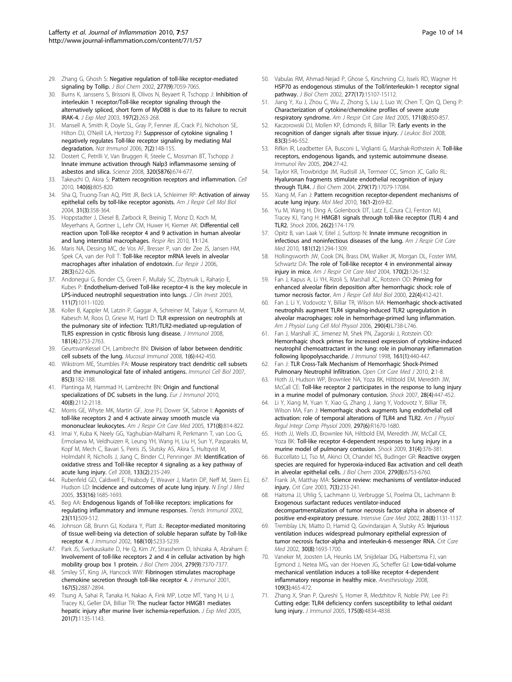- <span id="page-9-0"></span>29. Zhang G, Ghosh S: [Negative regulation of toll-like receptor-mediated](http://www.ncbi.nlm.nih.gov/pubmed/11751856?dopt=Abstract) [signaling by Tollip.](http://www.ncbi.nlm.nih.gov/pubmed/11751856?dopt=Abstract) *J Biol Chem* 2002, 277(9):7059-7065.
- 30. Burns K, Janssens S, Brissoni B, Olivos N, Beyaert R, Tschopp J: [Inhibition of](http://www.ncbi.nlm.nih.gov/pubmed/12538665?dopt=Abstract) [interleukin 1 receptor/Toll-like receptor signaling through the](http://www.ncbi.nlm.nih.gov/pubmed/12538665?dopt=Abstract) [alternatively spliced, short form of MyD88 is due to its failure to recruit](http://www.ncbi.nlm.nih.gov/pubmed/12538665?dopt=Abstract) [IRAK-4.](http://www.ncbi.nlm.nih.gov/pubmed/12538665?dopt=Abstract) J Exp Med 2003, 197(2):263-268.
- 31. Mansell A, Smith R, Doyle SL, Gray P, Fenner JE, Crack PJ, Nicholson SE, Hilton DJ, O'Neill LA, Hertzog PJ: [Suppressor of cytokine signaling 1](http://www.ncbi.nlm.nih.gov/pubmed/16415872?dopt=Abstract) [negatively regulates Toll-like receptor signaling by mediating Mal](http://www.ncbi.nlm.nih.gov/pubmed/16415872?dopt=Abstract) [degradation.](http://www.ncbi.nlm.nih.gov/pubmed/16415872?dopt=Abstract) Nat Immunol 2006, 7(2):148-155.
- 32. Dostert C, Petrilli V, Van Bruggen R, Steele C, Mossman BT, Tschopp J: [Innate immune activation through Nalp3 inflammasome sensing of](http://www.ncbi.nlm.nih.gov/pubmed/18403674?dopt=Abstract) [asbestos and silica.](http://www.ncbi.nlm.nih.gov/pubmed/18403674?dopt=Abstract) Science 2008, 320(5876):674-677.
- 33. Takeuchi O, Akira S: [Pattern recognition receptors and inflammation.](http://www.ncbi.nlm.nih.gov/pubmed/20303872?dopt=Abstract) Cell 2010, 140(6):805-820.
- 34. Sha Q, Truong-Tran AQ, Plitt JR, Beck LA, Schleimer RP: [Activation of airway](http://www.ncbi.nlm.nih.gov/pubmed/15191912?dopt=Abstract) [epithelial cells by toll-like receptor agonists.](http://www.ncbi.nlm.nih.gov/pubmed/15191912?dopt=Abstract) Am J Respir Cell Mol Biol 2004, 31(3):358-364.
- 35. Hoppstadter J, Diesel B, Zarbock R, Breinig T, Monz D, Koch M, Meyerhans A, Gortner L, Lehr CM, Huwer H, Kiemer AK: [Differential cell](http://www.ncbi.nlm.nih.gov/pubmed/20843333?dopt=Abstract) [reaction upon Toll-like receptor 4 and 9 activation in human alveolar](http://www.ncbi.nlm.nih.gov/pubmed/20843333?dopt=Abstract) [and lung interstitial macrophages.](http://www.ncbi.nlm.nih.gov/pubmed/20843333?dopt=Abstract) Respir Res 2010, 11:124.
- 36. Maris NA, Dessing MC, de Vos AF, Bresser P, van der Zee JS, Jansen HM, Spek CA, van der Poll T: [Toll-like receptor mRNA levels in alveolar](http://www.ncbi.nlm.nih.gov/pubmed/16946093?dopt=Abstract) [macrophages after inhalation of endotoxin.](http://www.ncbi.nlm.nih.gov/pubmed/16946093?dopt=Abstract) Eur Respir J 2006, 28(3):622-626.
- 37. Andonegui G, Bonder CS, Green F, Mullaly SC, Zbytnuik L, Raharjo E, Kubes P: [Endothelium-derived Toll-like receptor-4 is the key molecule in](http://www.ncbi.nlm.nih.gov/pubmed/12671050?dopt=Abstract) [LPS-induced neutrophil sequestration into lungs.](http://www.ncbi.nlm.nih.gov/pubmed/12671050?dopt=Abstract) J Clin Invest 2003, 111(7):1011-1020.
- 38. Koller B, Kappler M, Latzin P, Gaggar A, Schreiner M, Takyar S, Kormann M, Kabesch M, Roos D, Griese M, Hartl D: [TLR expression on neutrophils at](http://www.ncbi.nlm.nih.gov/pubmed/18684966?dopt=Abstract) [the pulmonary site of infection: TLR1/TLR2-mediated up-regulation of](http://www.ncbi.nlm.nih.gov/pubmed/18684966?dopt=Abstract) [TLR5 expression in cystic fibrosis lung disease.](http://www.ncbi.nlm.nih.gov/pubmed/18684966?dopt=Abstract) J Immunol 2008, 181(4):2753-2763.
- 39. GeurtsvanKessel CH, Lambrecht BN: [Division of labor between dendritic](http://www.ncbi.nlm.nih.gov/pubmed/19079211?dopt=Abstract) [cell subsets of the lung.](http://www.ncbi.nlm.nih.gov/pubmed/19079211?dopt=Abstract) Mucosal Immunol 2008, 1(6):442-450.
- 40. Wikstrom ME, Stumbles PA: [Mouse respiratory tract dendritic cell subsets](http://www.ncbi.nlm.nih.gov/pubmed/17262055?dopt=Abstract) [and the immunological fate of inhaled antigens.](http://www.ncbi.nlm.nih.gov/pubmed/17262055?dopt=Abstract) Immunol Cell Biol 2007, 85(3):182-188.
- 41. Plantinga M, Hammad H, Lambrecht BN: [Origin and functional](http://www.ncbi.nlm.nih.gov/pubmed/20853496?dopt=Abstract) [specializations of DC subsets in the lung.](http://www.ncbi.nlm.nih.gov/pubmed/20853496?dopt=Abstract) Eur J Immunol 2010, 40(8):2112-2118.
- 42. Morris GE, Whyte MK, Martin GF, Jose PJ, Dower SK, Sabroe I: [Agonists of](http://www.ncbi.nlm.nih.gov/pubmed/15657467?dopt=Abstract) [toll-like receptors 2 and 4 activate airway smooth muscle via](http://www.ncbi.nlm.nih.gov/pubmed/15657467?dopt=Abstract) [mononuclear leukocytes.](http://www.ncbi.nlm.nih.gov/pubmed/15657467?dopt=Abstract) Am J Respir Crit Care Med 2005, 171(8):814-822.
- 43. Imai Y, Kuba K, Neely GG, Yaghubian-Malhami R, Perkmann T, van Loo G, Ermolaeva M, Veldhuizen R, Leung YH, Wang H, Liu H, Sun Y, Pasparakis M, Kopf M, Mech C, Bavari S, Peiris JS, Slutsky AS, Akira S, Hultqvist M, Holmdahl R, Nicholls J, Jiang C, Binder CJ, Penninger JM: [Identification of](http://www.ncbi.nlm.nih.gov/pubmed/18423196?dopt=Abstract) [oxidative stress and Toll-like receptor 4 signaling as a key pathway of](http://www.ncbi.nlm.nih.gov/pubmed/18423196?dopt=Abstract) [acute lung injury.](http://www.ncbi.nlm.nih.gov/pubmed/18423196?dopt=Abstract) Cell 2008, 133(2):235-249.
- 44. Rubenfeld GD, Caldwell E, Peabody E, Weaver J, Martin DP, Neff M, Stern EJ, Hudson LD: [Incidence and outcomes of acute lung injury.](http://www.ncbi.nlm.nih.gov/pubmed/16236739?dopt=Abstract) N Engl J Med 2005, 353(16):1685-1693.
- 45. Beg AA: [Endogenous ligands of Toll-like receptors: implications for](http://www.ncbi.nlm.nih.gov/pubmed/12401394?dopt=Abstract) [regulating inflammatory and immune responses.](http://www.ncbi.nlm.nih.gov/pubmed/12401394?dopt=Abstract) Trends Immunol 2002, 23(11):509-512.
- 46. Johnson GB, Brunn GJ, Kodaira Y, Platt JL: [Receptor-mediated monitoring](http://www.ncbi.nlm.nih.gov/pubmed/11994480?dopt=Abstract) [of tissue well-being via detection of soluble heparan sulfate by Toll-like](http://www.ncbi.nlm.nih.gov/pubmed/11994480?dopt=Abstract) [receptor 4.](http://www.ncbi.nlm.nih.gov/pubmed/11994480?dopt=Abstract) J Immunol 2002, 168(10):5233-5239.
- 47. Park JS, Svetkauskaite D, He Q, Kim JY, Strassheim D, Ishizaka A, Abraham E: [Involvement of toll-like receptors 2 and 4 in cellular activation by high](http://www.ncbi.nlm.nih.gov/pubmed/14660645?dopt=Abstract) [mobility group box 1 protein.](http://www.ncbi.nlm.nih.gov/pubmed/14660645?dopt=Abstract) J Biol Chem 2004, 279(9):7370-7377.
- 48. Smiley ST, King JA, Hancock WW: [Fibrinogen stimulates macrophage](http://www.ncbi.nlm.nih.gov/pubmed/11509636?dopt=Abstract) [chemokine secretion through toll-like receptor 4.](http://www.ncbi.nlm.nih.gov/pubmed/11509636?dopt=Abstract) J Immunol 2001, 167(5):2887-2894.
- 49. Tsung A, Sahai R, Tanaka H, Nakao A, Fink MP, Lotze MT, Yang H, Li J, Tracey KJ, Geller DA, Billiar TR: [The nuclear factor HMGB1 mediates](http://www.ncbi.nlm.nih.gov/pubmed/15795240?dopt=Abstract) [hepatic injury after murine liver ischemia-reperfusion.](http://www.ncbi.nlm.nih.gov/pubmed/15795240?dopt=Abstract) J Exp Med 2005, 201(7):1135-1143.
- 50. Vabulas RM, Ahmad-Nejad P, Ghose S, Kirschning CJ, Issels RD, Wagner H: [HSP70 as endogenous stimulus of the Toll/interleukin-1 receptor signal](http://www.ncbi.nlm.nih.gov/pubmed/11842086?dopt=Abstract) [pathway.](http://www.ncbi.nlm.nih.gov/pubmed/11842086?dopt=Abstract) J Biol Chem 2002, 277(17):15107-15112.
- 51. Jiang Y, Xu J, Zhou C, Wu Z, Zhong S, Liu J, Luo W, Chen T, Qin Q, Deng P: [Characterization of cytokine/chemokine profiles of severe acute](http://www.ncbi.nlm.nih.gov/pubmed/15657466?dopt=Abstract) [respiratory syndrome.](http://www.ncbi.nlm.nih.gov/pubmed/15657466?dopt=Abstract) Am J Respir Crit Care Med 2005, 171(8):850-857.
- 52. Kaczorowski DJ, Mollen KP, Edmonds R, Billiar TR: [Early events in the](http://www.ncbi.nlm.nih.gov/pubmed/18032691?dopt=Abstract) [recognition of danger signals after tissue injury.](http://www.ncbi.nlm.nih.gov/pubmed/18032691?dopt=Abstract) J Leukoc Biol 2008, 83(3):546-552.
- 53. Rifkin IR, Leadbetter EA, Busconi L, Viglianti G, Marshak-Rothstein A: [Toll-like](http://www.ncbi.nlm.nih.gov/pubmed/15790348?dopt=Abstract) [receptors, endogenous ligands, and systemic autoimmune disease.](http://www.ncbi.nlm.nih.gov/pubmed/15790348?dopt=Abstract) Immunol Rev 2005, 204:27-42.
- 54. Taylor KR, Trowbridge JM, Rudisill JA, Termeer CC, Simon JC, Gallo RL: [Hyaluronan fragments stimulate endothelial recognition of injury](http://www.ncbi.nlm.nih.gov/pubmed/14764599?dopt=Abstract) [through TLR4.](http://www.ncbi.nlm.nih.gov/pubmed/14764599?dopt=Abstract) J Biol Chem 2004, 279(17):17079-17084.
- 55. Xiang M, Fan J: [Pattern recognition receptor-dependent mechanisms of](http://www.ncbi.nlm.nih.gov/pubmed/19949486?dopt=Abstract) [acute lung injury.](http://www.ncbi.nlm.nih.gov/pubmed/19949486?dopt=Abstract) Mol Med 2010, 16(1-2):69-82.
- 56. Yu M, Wang H, Ding A, Golenbock DT, Latz E, Czura CJ, Fenton MJ, Tracey KJ, Yang H: [HMGB1 signals through toll-like receptor \(TLR\) 4 and](http://www.ncbi.nlm.nih.gov/pubmed/16878026?dopt=Abstract) [TLR2.](http://www.ncbi.nlm.nih.gov/pubmed/16878026?dopt=Abstract) Shock 2006, 26(2):174-179.
- 57. Opitz B, van Laak V, Eitel J, Suttorp N: [Innate immune recognition in](http://www.ncbi.nlm.nih.gov/pubmed/20167850?dopt=Abstract) [infectious and noninfectious diseases of the lung.](http://www.ncbi.nlm.nih.gov/pubmed/20167850?dopt=Abstract) Am J Respir Crit Care Med 2010, 181(12):1294-1309.
- 58. Hollingsworth JW, Cook DN, Brass DM, Walker JK, Morgan DL, Foster WM, Schwartz DA: [The role of Toll-like receptor 4 in environmental airway](http://www.ncbi.nlm.nih.gov/pubmed/15020293?dopt=Abstract) [injury in mice.](http://www.ncbi.nlm.nih.gov/pubmed/15020293?dopt=Abstract) Am J Respir Crit Care Med 2004, 170(2):126-132.
- 59. Fan J, Kapus A, Li YH, Rizoli S, Marshall JC, Rotstein OD: [Priming for](http://www.ncbi.nlm.nih.gov/pubmed/10745022?dopt=Abstract) [enhanced alveolar fibrin deposition after hemorrhagic shock: role of](http://www.ncbi.nlm.nih.gov/pubmed/10745022?dopt=Abstract) [tumor necrosis factor.](http://www.ncbi.nlm.nih.gov/pubmed/10745022?dopt=Abstract) Am J Respir Cell Mol Biol 2000, 22(4):412-421
- 60. Fan J, Li Y, Vodovotz Y, Billiar TR, Wilson MA: [Hemorrhagic shock-activated](http://www.ncbi.nlm.nih.gov/pubmed/16272176?dopt=Abstract) [neutrophils augment TLR4 signaling-induced TLR2 upregulation in](http://www.ncbi.nlm.nih.gov/pubmed/16272176?dopt=Abstract) [alveolar macrophages: role in hemorrhage-primed lung inflammation.](http://www.ncbi.nlm.nih.gov/pubmed/16272176?dopt=Abstract) Am J Physiol Lung Cell Mol Physiol 2006, 290(4):L738-L746.
- 61. Fan J, Marshall JC, Jimenez M, Shek PN, Zagorski J, Rotstein OD: [Hemorrhagic shock primes for increased expression of cytokine-induced](http://www.ncbi.nlm.nih.gov/pubmed/9647254?dopt=Abstract) [neutrophil chemoattractant in the lung: role in pulmonary inflammation](http://www.ncbi.nlm.nih.gov/pubmed/9647254?dopt=Abstract) [following lipopolysaccharide.](http://www.ncbi.nlm.nih.gov/pubmed/9647254?dopt=Abstract) J Immunol 1998, 161(1):440-447.
- 62. Fan J: [TLR Cross-Talk Mechanism of Hemorrhagic Shock-Primed](http://www.ncbi.nlm.nih.gov/pubmed/20072711?dopt=Abstract) [Pulmonary Neutrophil Infiltration.](http://www.ncbi.nlm.nih.gov/pubmed/20072711?dopt=Abstract) Open Crit Care Med J 2010, 2:1-8.
- 63. Hoth JJ, Hudson WP, Brownlee NA, Yoza BK, Hiltbold EM, Meredith JW, McCall CE: [Toll-like receptor 2 participates in the response to lung injury](http://www.ncbi.nlm.nih.gov/pubmed/17558351?dopt=Abstract) [in a murine model of pulmonary contusion.](http://www.ncbi.nlm.nih.gov/pubmed/17558351?dopt=Abstract) Shock 2007, 28(4):447-452.
- 64. Li Y, Xiang M, Yuan Y, Xiao G, Zhang J, Jiang Y, Vodovotz Y, Billiar TR, Wilson MA, Fan J: [Hemorrhagic shock augments lung endothelial cell](http://www.ncbi.nlm.nih.gov/pubmed/19828841?dopt=Abstract) [activation: role of temporal alterations of TLR4 and TLR2.](http://www.ncbi.nlm.nih.gov/pubmed/19828841?dopt=Abstract) Am J Physiol Regul Integr Comp Physiol 2009, 297(6):R1670-1680.
- 65. Hoth JJ, Wells JD, Brownlee NA, Hiltbold EM, Meredith JW, McCall CE, Yoza BK: [Toll-like receptor 4-dependent responses to lung injury in a](http://www.ncbi.nlm.nih.gov/pubmed/18665044?dopt=Abstract) [murine model of pulmonary contusion.](http://www.ncbi.nlm.nih.gov/pubmed/18665044?dopt=Abstract) Shock 2009, 31(4):376-381.
- 66. Buccellato LJ, Tso M, Akinci OI, Chandel NS, Budinger GR: [Reactive oxygen](http://www.ncbi.nlm.nih.gov/pubmed/14625274?dopt=Abstract) [species are required for hyperoxia-induced Bax activation and cell death](http://www.ncbi.nlm.nih.gov/pubmed/14625274?dopt=Abstract) [in alveolar epithelial cells.](http://www.ncbi.nlm.nih.gov/pubmed/14625274?dopt=Abstract) J Biol Chem 2004, 279(8):6753-6760.
- Frank JA, Matthay MA: [Science review: mechanisms of ventilator-induced](http://www.ncbi.nlm.nih.gov/pubmed/12793874?dopt=Abstract) [injury.](http://www.ncbi.nlm.nih.gov/pubmed/12793874?dopt=Abstract) Crit Care 2003, **7(3)**:233-241.
- Haitsma JJ, Uhlig S, Lachmann U, Verbrugge SJ, Poelma DL, Lachmann B: [Exogenous surfactant reduces ventilator-induced](http://www.ncbi.nlm.nih.gov/pubmed/12185437?dopt=Abstract) [decompartmentalization of tumor necrosis factor alpha in absence of](http://www.ncbi.nlm.nih.gov/pubmed/12185437?dopt=Abstract) [positive end-expiratory pressure.](http://www.ncbi.nlm.nih.gov/pubmed/12185437?dopt=Abstract) Intensive Care Med 2002, 28(8):1131-1137.
- 69. Tremblay LN, Miatto D, Hamid Q, Govindarajan A, Slutsky AS: [Injurious](http://www.ncbi.nlm.nih.gov/pubmed/12163778?dopt=Abstract) [ventilation induces widespread pulmonary epithelial expression of](http://www.ncbi.nlm.nih.gov/pubmed/12163778?dopt=Abstract) [tumor necrosis factor-alpha and interleukin-6 messenger RNA.](http://www.ncbi.nlm.nih.gov/pubmed/12163778?dopt=Abstract) Crit Care Med 2002, 30(8):1693-1700.
- 70. Vaneker M, Joosten LA, Heunks LM, Snijdelaar DG, Halbertsma FJ, van Egmond J, Netea MG, van der Hoeven JG, Scheffer GJ: [Low-tidal-volume](http://www.ncbi.nlm.nih.gov/pubmed/18719444?dopt=Abstract) [mechanical ventilation induces a toll-like receptor 4-dependent](http://www.ncbi.nlm.nih.gov/pubmed/18719444?dopt=Abstract) [inflammatory response in healthy mice.](http://www.ncbi.nlm.nih.gov/pubmed/18719444?dopt=Abstract) Anesthesiology 2008, 109(3):465-472.
- 71. Zhang X, Shan P, Qureshi S, Homer R, Medzhitov R, Noble PW, Lee PJ: [Cutting edge: TLR4 deficiency confers susceptibility to lethal oxidant](http://www.ncbi.nlm.nih.gov/pubmed/16210584?dopt=Abstract) [lung injury.](http://www.ncbi.nlm.nih.gov/pubmed/16210584?dopt=Abstract) J Immunol 2005, 175(8):4834-4838.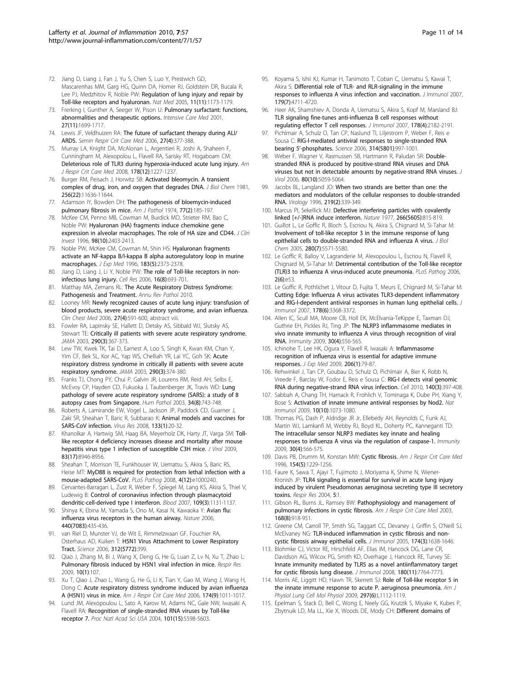- <span id="page-10-0"></span>72. Jiang D, Liang J, Fan J, Yu S, Chen S, Luo Y, Prestwich GD, Mascarenhas MM, Garg HG, Quinn DA, Homer RJ, Goldstein DR, Bucala R, Lee PJ, Medzhitov R, Noble PW: [Regulation of lung injury and repair by](http://www.ncbi.nlm.nih.gov/pubmed/16244651?dopt=Abstract) [Toll-like receptors and hyaluronan.](http://www.ncbi.nlm.nih.gov/pubmed/16244651?dopt=Abstract) Nat Med 2005, 11(11):1173-1179.
- 73. Frerking I, Gunther A, Seeger W, Pison U: [Pulmonary surfactant: functions,](http://www.ncbi.nlm.nih.gov/pubmed/11810113?dopt=Abstract) [abnormalities and therapeutic options.](http://www.ncbi.nlm.nih.gov/pubmed/11810113?dopt=Abstract) Intensive Care Med 2001, 27(11):1699-1717.
- 74. Lewis JF, Veldhuizen RA: [The future of surfactant therapy during ALI/](http://www.ncbi.nlm.nih.gov/pubmed/16909371?dopt=Abstract) [ARDS.](http://www.ncbi.nlm.nih.gov/pubmed/16909371?dopt=Abstract) Semin Respir Crit Care Med 2006, 27(4):377-388.
- 75. Murray LA, Knight DA, McAlonan L, Argentieri R, Joshi A, Shaheen F, Cunningham M, Alexopolou L, Flavell RA, Sarisky RT, Hogaboam CM: [Deleterious role of TLR3 during hyperoxia-induced acute lung injury.](http://www.ncbi.nlm.nih.gov/pubmed/18849495?dopt=Abstract) Am J Respir Crit Care Med 2008, 178(12):1227-1237.
- 76. Burger RM, Peisach J, Horwitz SB: [Activated bleomycin. A transient](http://www.ncbi.nlm.nih.gov/pubmed/6170635?dopt=Abstract) [complex of drug, iron, and oxygen that degrades DNA.](http://www.ncbi.nlm.nih.gov/pubmed/6170635?dopt=Abstract) J Biol Chem 1981, 256(22):11636-11644.
- 77. Adamson IY, Bowden DH: [The pathogenesis of bloemycin-induced](http://www.ncbi.nlm.nih.gov/pubmed/4141224?dopt=Abstract) [pulmonary fibrosis in mice.](http://www.ncbi.nlm.nih.gov/pubmed/4141224?dopt=Abstract) Am J Pathol 1974, 77(2):185-197.
- 78. McKee CM, Penno MB, Cowman M, Burdick MD, Strieter RM, Bao C, Noble PW: [Hyaluronan \(HA\) fragments induce chemokine gene](http://www.ncbi.nlm.nih.gov/pubmed/8941660?dopt=Abstract) [expression in alveolar macrophages. The role of HA size and CD44.](http://www.ncbi.nlm.nih.gov/pubmed/8941660?dopt=Abstract) J Clin Invest 1996, 98(10):2403-2413.
- 79. Noble PW, McKee CM, Cowman M, Shin HS: [Hyaluronan fragments](http://www.ncbi.nlm.nih.gov/pubmed/8642348?dopt=Abstract) [activate an NF-kappa B/I-kappa B alpha autoregulatory loop in murine](http://www.ncbi.nlm.nih.gov/pubmed/8642348?dopt=Abstract) [macrophages.](http://www.ncbi.nlm.nih.gov/pubmed/8642348?dopt=Abstract) J Exp Med 1996, 183(5):2373-2378.
- 80. Jiang D, Liang J, Li Y, Noble PW: [The role of Toll-like receptors in non](http://www.ncbi.nlm.nih.gov/pubmed/16894359?dopt=Abstract)[infectious lung injury.](http://www.ncbi.nlm.nih.gov/pubmed/16894359?dopt=Abstract) Cell Res 2006, 16(8):693-701.
- 81. Matthay MA, Zemans RL: [The Acute Respiratory Distress Syndrome:](http://www.ncbi.nlm.nih.gov/pubmed/20936936?dopt=Abstract) [Pathogenesis and Treatment.](http://www.ncbi.nlm.nih.gov/pubmed/20936936?dopt=Abstract) Annu Rev Pathol 2010.
- 82. Looney MR: [Newly recognized causes of acute lung injury: transfusion of](http://www.ncbi.nlm.nih.gov/pubmed/17085248?dopt=Abstract) [blood products, severe acute respiratory syndrome, and avian influenza.](http://www.ncbi.nlm.nih.gov/pubmed/17085248?dopt=Abstract) Clin Chest Med 2006, 27(4):591-600, abstract viii.
- 83. Fowler RA, Lapinsky SE, Hallett D, Detsky AS, Sibbald WJ, Slutsky AS, Stewart TE: [Critically ill patients with severe acute respiratory syndrome.](http://www.ncbi.nlm.nih.gov/pubmed/12865378?dopt=Abstract) JAMA 2003, 290(3):367-373.
- 84. Lew TW, Kwek TK, Tai D, Earnest A, Loo S, Singh K, Kwan KM, Chan Y, Yim CF, Bek SL, Kor AC, Yap WS, Chelliah YR, Lai YC, Goh SK: [Acute](http://www.ncbi.nlm.nih.gov/pubmed/12865379?dopt=Abstract) [respiratory distress syndrome in critically ill patients with severe acute](http://www.ncbi.nlm.nih.gov/pubmed/12865379?dopt=Abstract) [respiratory syndrome.](http://www.ncbi.nlm.nih.gov/pubmed/12865379?dopt=Abstract) JAMA 2003, 290(3):374-380.
- 85. Franks TJ, Chong PY, Chui P, Galvin JR, Lourens RM, Reid AH, Selbs E, McEvoy CP, Hayden CD, Fukuoka J, Taubenberger JK, Travis WD: [Lung](http://www.ncbi.nlm.nih.gov/pubmed/14506633?dopt=Abstract) [pathology of severe acute respiratory syndrome \(SARS\): a study of 8](http://www.ncbi.nlm.nih.gov/pubmed/14506633?dopt=Abstract) [autopsy cases from Singapore.](http://www.ncbi.nlm.nih.gov/pubmed/14506633?dopt=Abstract) Hum Pathol 2003, 34(8):743-748.
- 86. Roberts A, Lamirande EW, Vogel L, Jackson JP, Paddock CD, Guarner J, Zaki SR, Sheahan T, Baric R, Subbarao K: [Animal models and vaccines for](http://www.ncbi.nlm.nih.gov/pubmed/17499378?dopt=Abstract) [SARS-CoV infection.](http://www.ncbi.nlm.nih.gov/pubmed/17499378?dopt=Abstract) Virus Res 2008, 133(1):20-32.
- 87. Khanolkar A, Hartwig SM, Haag BA, Meyerholz DK, Harty JT, Varga SM: [Toll](http://www.ncbi.nlm.nih.gov/pubmed/19553337?dopt=Abstract)[like receptor 4 deficiency increases disease and mortality after mouse](http://www.ncbi.nlm.nih.gov/pubmed/19553337?dopt=Abstract) [hepatitis virus type 1 infection of susceptible C3H mice.](http://www.ncbi.nlm.nih.gov/pubmed/19553337?dopt=Abstract) J Virol 2009, 83(17):8946-8956.
- 88. Sheahan T, Morrison TE, Funkhouser W, Uematsu S, Akira S, Baric RS, Heise MT: [MyD88 is required for protection from lethal infection with a](http://www.ncbi.nlm.nih.gov/pubmed/19079579?dopt=Abstract) [mouse-adapted SARS-CoV.](http://www.ncbi.nlm.nih.gov/pubmed/19079579?dopt=Abstract) PLoS Pathog 2008, 4(12):e1000240.
- 89. Cervantes-Barragan L, Zust R, Weber F, Spiegel M, Lang KS, Akira S, Thiel V, Ludewig B: [Control of coronavirus infection through plasmacytoid](http://www.ncbi.nlm.nih.gov/pubmed/16985170?dopt=Abstract) [dendritic-cell-derived type I interferon.](http://www.ncbi.nlm.nih.gov/pubmed/16985170?dopt=Abstract) Blood 2007, 109(3):1131-1137.
- 90. Shinya K, Ebina M, Yamada S, Ono M, Kasai N, Kawaoka Y: [Avian flu:](http://www.ncbi.nlm.nih.gov/pubmed/16554799?dopt=Abstract) [influenza virus receptors in the human airway.](http://www.ncbi.nlm.nih.gov/pubmed/16554799?dopt=Abstract) Nature 2006, 440(7083):435-436.
- 91. van Riel D, Munster VJ, de Wit E, Rimmelzwaan GF, Fouchier RA, Osterhaus AD, Kuiken T: [H5N1 Virus Attachment to Lower Respiratory](http://www.ncbi.nlm.nih.gov/pubmed/16556800?dopt=Abstract) [Tract.](http://www.ncbi.nlm.nih.gov/pubmed/16556800?dopt=Abstract) Science 2006, 312(5772):399.
- 92. Qiao J, Zhang M, Bi J, Wang X, Deng G, He G, Luan Z, Lv N, Xu T, Zhao L: [Pulmonary fibrosis induced by H5N1 viral infection in mice.](http://www.ncbi.nlm.nih.gov/pubmed/19909524?dopt=Abstract) Respir Res 2009, 10(1):107.
- 93. Xu T, Qiao J, Zhao L, Wang G, He G, Li K, Tian Y, Gao M, Wang J, Wang H, Dong C: [Acute respiratory distress syndrome induced by avian influenza](http://www.ncbi.nlm.nih.gov/pubmed/16917113?dopt=Abstract) [A \(H5N1\) virus in mice.](http://www.ncbi.nlm.nih.gov/pubmed/16917113?dopt=Abstract) Am J Respir Crit Care Med 2006, 174(9):1011-1017.
- 94. Lund JM, Alexopoulou L, Sato A, Karow M, Adams NC, Gale NW, Iwasaki A, Flavell RA: [Recognition of single-stranded RNA viruses by Toll-like](http://www.ncbi.nlm.nih.gov/pubmed/15034168?dopt=Abstract) [receptor 7.](http://www.ncbi.nlm.nih.gov/pubmed/15034168?dopt=Abstract) Proc Natl Acad Sci USA 2004, 101(15):5598-5603.
- 95. Koyama S, Ishii KJ, Kumar H, Tanimoto T, Coban C, Uematsu S, Kawai T, Akira S: [Differential role of TLR- and RLR-signaling in the immune](http://www.ncbi.nlm.nih.gov/pubmed/17878370?dopt=Abstract) [responses to influenza A virus infection and vaccination.](http://www.ncbi.nlm.nih.gov/pubmed/17878370?dopt=Abstract) J Immunol 2007, 179(7):4711-4720.
- 96. Heer AK, Shamshiev A, Donda A, Uematsu S, Akira S, Kopf M, Marsland BJ: [TLR signaling fine-tunes anti-influenza B cell responses without](http://www.ncbi.nlm.nih.gov/pubmed/17277123?dopt=Abstract) [regulating effector T cell responses.](http://www.ncbi.nlm.nih.gov/pubmed/17277123?dopt=Abstract) J Immunol 2007, 178(4):2182-2191.
- 97. Pichlmair A, Schulz O, Tan CP, Naslund TI, Liljestrom P, Weber F, Reis e Sousa C: [RIG-I-mediated antiviral responses to single-stranded RNA](http://www.ncbi.nlm.nih.gov/pubmed/17038589?dopt=Abstract) bearing 5'[-phosphates.](http://www.ncbi.nlm.nih.gov/pubmed/17038589?dopt=Abstract) Science 2006, 314(5801):997-1001.
- 98. Weber F, Wagner V, Rasmussen SB, Hartmann R, Paludan SR: [Double](http://www.ncbi.nlm.nih.gov/pubmed/16641297?dopt=Abstract)[stranded RNA is produced by positive-strand RNA viruses and DNA](http://www.ncbi.nlm.nih.gov/pubmed/16641297?dopt=Abstract) [viruses but not in detectable amounts by negative-strand RNA viruses.](http://www.ncbi.nlm.nih.gov/pubmed/16641297?dopt=Abstract) J Virol 2006, 80(10):5059-5064.
- 99. Jacobs BL, Langland JO: [When two strands are better than one: the](http://www.ncbi.nlm.nih.gov/pubmed/8638399?dopt=Abstract) [mediators and modulators of the cellular responses to double-stranded](http://www.ncbi.nlm.nih.gov/pubmed/8638399?dopt=Abstract) [RNA.](http://www.ncbi.nlm.nih.gov/pubmed/8638399?dopt=Abstract) Virology 1996, 219(2):339-349.
- 100. Marcus PI, Sekellick MJ: [Defective interfering particles with covalently](http://www.ncbi.nlm.nih.gov/pubmed/194158?dopt=Abstract) [linked \[+/-\]RNA induce interferon.](http://www.ncbi.nlm.nih.gov/pubmed/194158?dopt=Abstract) Nature 1977, 266(5605):815-819.
- 101. Guillot L, Le Goffic R, Bloch S, Escriou N, Akira S, Chignard M, Si-Tahar M: [Involvement of toll-like receptor 3 in the immune response of lung](http://www.ncbi.nlm.nih.gov/pubmed/15579900?dopt=Abstract) [epithelial cells to double-stranded RNA and influenza A virus.](http://www.ncbi.nlm.nih.gov/pubmed/15579900?dopt=Abstract) J Biol Chem 2005, 280(7):5571-5580.
- 102. Le Goffic R, Balloy V, Lagranderie M, Alexopoulou L, Escriou N, Flavell R, Chignard M, Si-Tahar M: [Detrimental contribution of the Toll-like receptor](http://www.ncbi.nlm.nih.gov/pubmed/16789835?dopt=Abstract) [\(TLR\)3 to influenza A virus-induced acute pneumonia.](http://www.ncbi.nlm.nih.gov/pubmed/16789835?dopt=Abstract) PLoS Pathog 2006, 2(6):e53.
- 103. Le Goffic R, Pothlichet J, Vitour D, Fujita T, Meurs E, Chignard M, Si-Tahar M: [Cutting Edge: Influenza A virus activates TLR3-dependent inflammatory](http://www.ncbi.nlm.nih.gov/pubmed/17339430?dopt=Abstract) [and RIG-I-dependent antiviral responses in human lung epithelial cells.](http://www.ncbi.nlm.nih.gov/pubmed/17339430?dopt=Abstract) J Immunol 2007, 178(6):3368-3372.
- 104. Allen IC, Scull MA, Moore CB, Holl EK, McElvania-TeKippe E, Taxman DJ, Guthrie EH, Pickles RJ, Ting JP: [The NLRP3 inflammasome mediates in](http://www.ncbi.nlm.nih.gov/pubmed/19362020?dopt=Abstract) [vivo innate immunity to influenza A virus through recognition of viral](http://www.ncbi.nlm.nih.gov/pubmed/19362020?dopt=Abstract) [RNA.](http://www.ncbi.nlm.nih.gov/pubmed/19362020?dopt=Abstract) Immunity 2009, 30(4):556-565.
- 105. Ichinohe T, Lee HK, Ogura Y, Flavell R, Iwasaki A: [Inflammasome](http://www.ncbi.nlm.nih.gov/pubmed/19139171?dopt=Abstract) [recognition of influenza virus is essential for adaptive immune](http://www.ncbi.nlm.nih.gov/pubmed/19139171?dopt=Abstract) [responses.](http://www.ncbi.nlm.nih.gov/pubmed/19139171?dopt=Abstract) J Exp Med 2009, 206(1):79-87.
- 106. Rehwinkel J, Tan CP, Goubau D, Schulz O, Pichlmair A, Bier K, Robb N, Vreede F, Barclay W, Fodor E, Reis e Sousa C: [RIG-I detects viral genomic](http://www.ncbi.nlm.nih.gov/pubmed/20144762?dopt=Abstract) [RNA during negative-strand RNA virus infection.](http://www.ncbi.nlm.nih.gov/pubmed/20144762?dopt=Abstract) Cell 2010, 140(3):397-408.
- 107. Sabbah A, Chang TH, Harnack R, Frohlich V, Tominaga K, Dube PH, Xiang Y, Bose S: [Activation of innate immune antiviral responses by Nod2.](http://www.ncbi.nlm.nih.gov/pubmed/19701189?dopt=Abstract) Nat Immunol 2009, 10(10):1073-1080.
- 108. Thomas PG, Dash P, Aldridge JR Jr, Ellebedy AH, Reynolds C, Funk AJ, Martin WJ, Lamkanfi M, Webby RJ, Boyd KL, Doherty PC, Kanneganti TD: [The intracellular sensor NLRP3 mediates key innate and healing](http://www.ncbi.nlm.nih.gov/pubmed/19362023?dopt=Abstract) [responses to influenza A virus via the regulation of caspase-1.](http://www.ncbi.nlm.nih.gov/pubmed/19362023?dopt=Abstract) Immunity 2009, 30(4):566-575.
- 109. Davis PB, Drumm M, Konstan MW: [Cystic fibrosis.](http://www.ncbi.nlm.nih.gov/pubmed/8912731?dopt=Abstract) Am J Respir Crit Care Med 1996, 154(5):1229-1256.
- 110. Faure K, Sawa T, Ajayi T, Fujimoto J, Moriyama K, Shime N, Wiener-Kronish JP: [TLR4 signaling is essential for survival in acute lung injury](http://www.ncbi.nlm.nih.gov/pubmed/15040820?dopt=Abstract) [induced by virulent Pseudomonas aeruginosa secreting type III secretory](http://www.ncbi.nlm.nih.gov/pubmed/15040820?dopt=Abstract) [toxins.](http://www.ncbi.nlm.nih.gov/pubmed/15040820?dopt=Abstract) Respir Res 2004, 5:1.
- 111. Gibson RL, Burns JL, Ramsey BW: [Pathophysiology and management of](http://www.ncbi.nlm.nih.gov/pubmed/14555458?dopt=Abstract) [pulmonary infections in cystic fibrosis.](http://www.ncbi.nlm.nih.gov/pubmed/14555458?dopt=Abstract) Am J Respir Crit Care Med 2003, 168(8):918-951.
- 112. Greene CM, Carroll TP, Smith SG, Taggart CC, Devaney J, Griffin S, O'Neill SJ, McElvaney NG: [TLR-induced inflammation in cystic fibrosis and non](http://www.ncbi.nlm.nih.gov/pubmed/15661927?dopt=Abstract)[cystic fibrosis airway epithelial cells.](http://www.ncbi.nlm.nih.gov/pubmed/15661927?dopt=Abstract) J Immunol 2005, 174(3):1638-1646.
- 113. Blohmke CJ, Victor RE, Hirschfeld AF, Elias IM, Hancock DG, Lane CR, Davidson AG, Wilcox PG, Smith KD, Overhage J, Hancock RE, Turvey SE: [Innate immunity mediated by TLR5 as a novel antiinflammatory target](http://www.ncbi.nlm.nih.gov/pubmed/18490781?dopt=Abstract) [for cystic fibrosis lung disease.](http://www.ncbi.nlm.nih.gov/pubmed/18490781?dopt=Abstract) J Immunol 2008, 180(11):7764-7773.
- 114. Morris AE, Liggitt HD, Hawn TR, Skerrett SJ: [Role of Toll-like receptor 5 in](http://www.ncbi.nlm.nih.gov/pubmed/19801452?dopt=Abstract) [the innate immune response to acute P. aeruginosa pneumonia.](http://www.ncbi.nlm.nih.gov/pubmed/19801452?dopt=Abstract) Am J Physiol Lung Cell Mol Physiol 2009, 297(6):L1112-1119.
- 115. Epelman S, Stack D, Bell C, Wong E, Neely GG, Krutzik S, Miyake K, Kubes P, Zbytnuik LD, Ma LL, Xie X, Woods DE, Mody CH: [Different domains of](http://www.ncbi.nlm.nih.gov/pubmed/15265938?dopt=Abstract)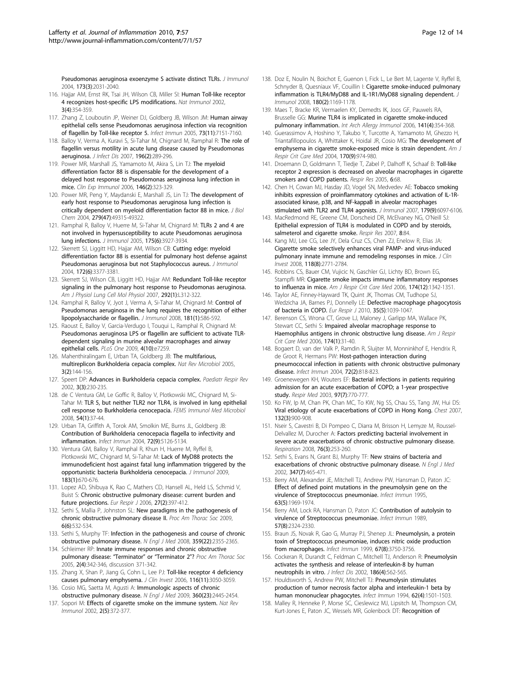<span id="page-11-0"></span>[Pseudomonas aeruginosa exoenzyme S activate distinct TLRs.](http://www.ncbi.nlm.nih.gov/pubmed/15265938?dopt=Abstract) J Immunol 2004, 173(3):2031-2040.

- 116. Hajjar AM, Ernst RK, Tsai JH, Wilson CB, Miller SI: [Human Toll-like receptor](http://www.ncbi.nlm.nih.gov/pubmed/11912497?dopt=Abstract) [4 recognizes host-specific LPS modifications.](http://www.ncbi.nlm.nih.gov/pubmed/11912497?dopt=Abstract) Nat Immunol 2002, 3(4):354-359.
- 117. Zhang Z, Louboutin JP, Weiner DJ, Goldberg JB, Wilson JM: [Human airway](http://www.ncbi.nlm.nih.gov/pubmed/16239509?dopt=Abstract) [epithelial cells sense Pseudomonas aeruginosa infection via recognition](http://www.ncbi.nlm.nih.gov/pubmed/16239509?dopt=Abstract) [of flagellin by Toll-like receptor 5.](http://www.ncbi.nlm.nih.gov/pubmed/16239509?dopt=Abstract) Infect Immun 2005, 73(11):7151-7160.
- 118. Balloy V, Verma A, Kuravi S, Si-Tahar M, Chignard M, Ramphal R: [The role of](http://www.ncbi.nlm.nih.gov/pubmed/17570117?dopt=Abstract) [flagellin versus motility in acute lung disease caused by Pseudomonas](http://www.ncbi.nlm.nih.gov/pubmed/17570117?dopt=Abstract) [aeruginosa.](http://www.ncbi.nlm.nih.gov/pubmed/17570117?dopt=Abstract) J Infect Dis 2007, 196(2):289-296.
- 119. Power MR, Marshall JS, Yamamoto M, Akira S, Lin TJ: [The myeloid](http://www.ncbi.nlm.nih.gov/pubmed/17034585?dopt=Abstract) [differentiation factor 88 is dispensable for the development of a](http://www.ncbi.nlm.nih.gov/pubmed/17034585?dopt=Abstract) [delayed host response to Pseudomonas aeruginosa lung infection in](http://www.ncbi.nlm.nih.gov/pubmed/17034585?dopt=Abstract) [mice.](http://www.ncbi.nlm.nih.gov/pubmed/17034585?dopt=Abstract) Clin Exp Immunol 2006, 146(2):323-329.
- 120. Power MR, Peng Y, Maydanski E, Marshall JS, Lin TJ: [The development of](http://www.ncbi.nlm.nih.gov/pubmed/15375173?dopt=Abstract) [early host response to Pseudomonas aeruginosa lung infection is](http://www.ncbi.nlm.nih.gov/pubmed/15375173?dopt=Abstract) [critically dependent on myeloid differentiation factor 88 in mice.](http://www.ncbi.nlm.nih.gov/pubmed/15375173?dopt=Abstract) J Biol Chem 2004, 279(47):49315-49322.
- 121. Ramphal R, Balloy V, Huerre M, Si-Tahar M, Chignard M: [TLRs 2 and 4 are](http://www.ncbi.nlm.nih.gov/pubmed/16148139?dopt=Abstract) [not involved in hypersusceptibility to acute Pseudomonas aeruginosa](http://www.ncbi.nlm.nih.gov/pubmed/16148139?dopt=Abstract) [lung infections.](http://www.ncbi.nlm.nih.gov/pubmed/16148139?dopt=Abstract) J Immunol 2005, 175(6):3927-3934.
- 122. Skerrett SJ, Liggitt HD, Hajjar AM, Wilson CB: [Cutting edge: myeloid](http://www.ncbi.nlm.nih.gov/pubmed/15004134?dopt=Abstract) [differentiation factor 88 is essential for pulmonary host defense against](http://www.ncbi.nlm.nih.gov/pubmed/15004134?dopt=Abstract) [Pseudomonas aeruginosa but not Staphylococcus aureus.](http://www.ncbi.nlm.nih.gov/pubmed/15004134?dopt=Abstract) J Immunol 2004, 172(6):3377-3381.
- 123. Skerrett SJ, Wilson CB, Liggitt HD, Hajjar AM: [Redundant Toll-like receptor](http://www.ncbi.nlm.nih.gov/pubmed/16936244?dopt=Abstract) [signaling in the pulmonary host response to Pseudomonas aeruginosa.](http://www.ncbi.nlm.nih.gov/pubmed/16936244?dopt=Abstract) Am J Physiol Lung Cell Mol Physiol 2007, 292(1):L312-322.
- 124. Ramphal R, Balloy V, Jyot J, Verma A, Si-Tahar M, Chignard M: [Control of](http://www.ncbi.nlm.nih.gov/pubmed/18566425?dopt=Abstract) [Pseudomonas aeruginosa in the lung requires the recognition of either](http://www.ncbi.nlm.nih.gov/pubmed/18566425?dopt=Abstract) [lipopolysaccharide or flagellin.](http://www.ncbi.nlm.nih.gov/pubmed/18566425?dopt=Abstract) J Immunol 2008, 181(1):586-592.
- 125. Raoust E, Balloy V, Garcia-Verdugo I, Touqui L, Ramphal R, Chignard M: [Pseudomonas aeruginosa LPS or flagellin are sufficient to activate TLR](http://www.ncbi.nlm.nih.gov/pubmed/19806220?dopt=Abstract)[dependent signaling in murine alveolar macrophages and airway](http://www.ncbi.nlm.nih.gov/pubmed/19806220?dopt=Abstract) [epithelial cells.](http://www.ncbi.nlm.nih.gov/pubmed/19806220?dopt=Abstract) PLoS One 2009, 4(10):e7259.
- 126. Mahenthiralingam E, Urban TA, Goldberg JB: [The multifarious,](http://www.ncbi.nlm.nih.gov/pubmed/15643431?dopt=Abstract) [multireplicon Burkholderia cepacia complex.](http://www.ncbi.nlm.nih.gov/pubmed/15643431?dopt=Abstract) Nat Rev Microbiol 2005, 3(2):144-156.
- 127. Speert DP: [Advances in Burkholderia cepacia complex.](http://www.ncbi.nlm.nih.gov/pubmed/12376059?dopt=Abstract) Paediatr Respir Rev 2002, 3(3):230-235.
- 128. de C Ventura GM, Le Goffic R, Balloy V, Plotkowski MC, Chignard M, Si-Tahar M: [TLR 5, but neither TLR2 nor TLR4, is involved in lung epithelial](http://www.ncbi.nlm.nih.gov/pubmed/18680520?dopt=Abstract) [cell response to Burkholderia cenocepacia.](http://www.ncbi.nlm.nih.gov/pubmed/18680520?dopt=Abstract) FEMS Immunol Med Microbiol 2008, 54(1):37-44.
- 129. Urban TA, Griffith A, Torok AM, Smolkin ME, Burns JL, Goldberg JB: [Contribution of Burkholderia cenocepacia flagella to infectivity and](http://www.ncbi.nlm.nih.gov/pubmed/15322006?dopt=Abstract) [inflammation.](http://www.ncbi.nlm.nih.gov/pubmed/15322006?dopt=Abstract) Infect Immun 2004, 72(9):5126-5134.
- 130. Ventura GM, Balloy V, Ramphal R, Khun H, Huerre M, Ryffel B, Plotkowski MC, Chignard M, Si-Tahar M: [Lack of MyD88 protects the](http://www.ncbi.nlm.nih.gov/pubmed/19535624?dopt=Abstract) [immunodeficient host against fatal lung inflammation triggered by the](http://www.ncbi.nlm.nih.gov/pubmed/19535624?dopt=Abstract) [opportunistic bacteria Burkholderia cenocepacia.](http://www.ncbi.nlm.nih.gov/pubmed/19535624?dopt=Abstract) J Immunol 2009, 183(1):670-676.
- 131. Lopez AD, Shibuya K, Rao C, Mathers CD, Hansell AL, Held LS, Schmid V, Buist S: [Chronic obstructive pulmonary disease: current burden and](http://www.ncbi.nlm.nih.gov/pubmed/16452599?dopt=Abstract) [future projections.](http://www.ncbi.nlm.nih.gov/pubmed/16452599?dopt=Abstract) Eur Respir J 2006, 27(2):397-412.
- 132. Sethi S, Mallia P, Johnston SL: [New paradigms in the pathogenesis of](http://www.ncbi.nlm.nih.gov/pubmed/19741263?dopt=Abstract) [chronic obstructive pulmonary disease II.](http://www.ncbi.nlm.nih.gov/pubmed/19741263?dopt=Abstract) Proc Am Thorac Soc 2009, 6(6):532-534.
- 133. Sethi S, Murphy TF: [Infection in the pathogenesis and course of chronic](http://www.ncbi.nlm.nih.gov/pubmed/19038881?dopt=Abstract) [obstructive pulmonary disease.](http://www.ncbi.nlm.nih.gov/pubmed/19038881?dopt=Abstract) N Engl J Med 2008, 359(22):2355-2365.
- 134. Schleimer RP: [Innate immune responses and chronic obstructive](http://www.ncbi.nlm.nih.gov/pubmed/16267360?dopt=Abstract) [pulmonary disease:](http://www.ncbi.nlm.nih.gov/pubmed/16267360?dopt=Abstract) "Terminator" or "Terminator 2"? Proc Am Thorac Soc 2005, 2(4):342-346, discussion 371-342.
- 135. Zhang X, Shan P, Jiang G, Cohn L, Lee PJ: [Toll-like receptor 4 deficiency](http://www.ncbi.nlm.nih.gov/pubmed/17053835?dopt=Abstract) [causes pulmonary emphysema.](http://www.ncbi.nlm.nih.gov/pubmed/17053835?dopt=Abstract) J Clin Invest 2006, 116(11):3050-3059.
- 136. Cosio MG, Saetta M, Agusti A: [Immunologic aspects of chronic](http://www.ncbi.nlm.nih.gov/pubmed/19494220?dopt=Abstract) [obstructive pulmonary disease.](http://www.ncbi.nlm.nih.gov/pubmed/19494220?dopt=Abstract) N Engl J Med 2009, 360(23):2445-2454.
- 137. Sopori M: [Effects of cigarette smoke on the immune system.](http://www.ncbi.nlm.nih.gov/pubmed/12033743?dopt=Abstract) Nat Rev Immunol 2002, 2(5):372-377.
- 138. Doz E, Noulin N, Boichot E, Guenon I, Fick L, Le Bert M, Lagente V, Ryffel B, Schnyder B, Quesniaux VF, Couillin I: [Cigarette smoke-induced pulmonary](http://www.ncbi.nlm.nih.gov/pubmed/18178857?dopt=Abstract) [inflammation is TLR4/MyD88 and IL-1R1/MyD88 signaling dependent.](http://www.ncbi.nlm.nih.gov/pubmed/18178857?dopt=Abstract) J Immunol 2008, 180(2):1169-1178.
- 139. Maes T, Bracke KR, Vermaelen KY, Demedts IK, Joos GF, Pauwels RA, Brusselle GG: [Murine TLR4 is implicated in cigarette smoke-induced](http://www.ncbi.nlm.nih.gov/pubmed/16940747?dopt=Abstract) [pulmonary inflammation.](http://www.ncbi.nlm.nih.gov/pubmed/16940747?dopt=Abstract) Int Arch Allergy Immunol 2006, 141(4):354-368.
- 140. Guerassimov A, Hoshino Y, Takubo Y, Turcotte A, Yamamoto M, Ghezzo H, Triantafillopoulos A, Whittaker K, Hoidal JR, Cosio MG: [The development of](http://www.ncbi.nlm.nih.gov/pubmed/15282203?dopt=Abstract) [emphysema in cigarette smoke-exposed mice is strain dependent.](http://www.ncbi.nlm.nih.gov/pubmed/15282203?dopt=Abstract) Am J Respir Crit Care Med 2004, 170(9):974-980.
- 141. Droemann D, Goldmann T, Tiedje T, Zabel P, Dalhoff K, Schaaf B: [Toll-like](http://www.ncbi.nlm.nih.gov/pubmed/16004610?dopt=Abstract) [receptor 2 expression is decreased on alveolar macrophages in cigarette](http://www.ncbi.nlm.nih.gov/pubmed/16004610?dopt=Abstract) [smokers and COPD patients.](http://www.ncbi.nlm.nih.gov/pubmed/16004610?dopt=Abstract) Respir Res 2005, 6:68.
- 142. Chen H, Cowan MJ, Hasday JD, Vogel SN, Medvedev AE: [Tobacco smoking](http://www.ncbi.nlm.nih.gov/pubmed/17947684?dopt=Abstract) [inhibits expression of proinflammatory cytokines and activation of IL-1R](http://www.ncbi.nlm.nih.gov/pubmed/17947684?dopt=Abstract)[associated kinase, p38, and NF-kappaB in alveolar macrophages](http://www.ncbi.nlm.nih.gov/pubmed/17947684?dopt=Abstract) [stimulated with TLR2 and TLR4 agonists.](http://www.ncbi.nlm.nih.gov/pubmed/17947684?dopt=Abstract) J Immunol 2007, 179(9):6097-6106.
- 143. MacRedmond RE, Greene CM, Dorscheid DR, McElvaney NG, O'Neill SJ: [Epithelial expression of TLR4 is modulated in COPD and by steroids,](http://www.ncbi.nlm.nih.gov/pubmed/18034897?dopt=Abstract) [salmeterol and cigarette smoke.](http://www.ncbi.nlm.nih.gov/pubmed/18034897?dopt=Abstract) Respir Res 2007, 8:84.
- 144. Kang MJ, Lee CG, Lee JY, Dela Cruz CS, Chen ZJ, Enelow R, Elias JA: [Cigarette smoke selectively enhances viral PAMP- and virus-induced](http://www.ncbi.nlm.nih.gov/pubmed/18654661?dopt=Abstract) [pulmonary innate immune and remodeling responses in mice.](http://www.ncbi.nlm.nih.gov/pubmed/18654661?dopt=Abstract) *J Clin* Invest 2008, 118(8):2771-2784.
- 145. Robbins CS, Bauer CM, Vujicic N, Gaschler GJ, Lichty BD, Brown EG, Stampfli MR: [Cigarette smoke impacts immune inflammatory responses](http://www.ncbi.nlm.nih.gov/pubmed/17023734?dopt=Abstract) [to influenza in mice.](http://www.ncbi.nlm.nih.gov/pubmed/17023734?dopt=Abstract) Am J Respir Crit Care Med 2006, 174(12):1342-1351.
- 146. Taylor AE, Finney-Hayward TK, Quint JK, Thomas CM, Tudhope SJ, Wedzicha JA, Barnes PJ, Donnelly LE: [Defective macrophage phagocytosis](http://www.ncbi.nlm.nih.gov/pubmed/19897561?dopt=Abstract) [of bacteria in COPD.](http://www.ncbi.nlm.nih.gov/pubmed/19897561?dopt=Abstract) Eur Respir J 2010, 35(5):1039-1047.
- 147. Berenson CS, Wrona CT, Grove LJ, Maloney J, Garlipp MA, Wallace PK, Stewart CC, Sethi S: [Impaired alveolar macrophage response to](http://www.ncbi.nlm.nih.gov/pubmed/16574934?dopt=Abstract) [Haemophilus antigens in chronic obstructive lung disease.](http://www.ncbi.nlm.nih.gov/pubmed/16574934?dopt=Abstract) Am J Respir Crit Care Med 2006, 174(1):31-40.
- 148. Bogaert D, van der Valk P, Ramdin R, Sluijter M, Monninkhof E, Hendrix R, de Groot R, Hermans PW: [Host-pathogen interaction during](http://www.ncbi.nlm.nih.gov/pubmed/14742525?dopt=Abstract) [pneumococcal infection in patients with chronic obstructive pulmonary](http://www.ncbi.nlm.nih.gov/pubmed/14742525?dopt=Abstract) [disease.](http://www.ncbi.nlm.nih.gov/pubmed/14742525?dopt=Abstract) Infect Immun 2004, 72(2):818-823.
- 149. Groenewegen KH, Wouters EF: [Bacterial infections in patients requiring](http://www.ncbi.nlm.nih.gov/pubmed/12854626?dopt=Abstract) [admission for an acute exacerbation of COPD; a 1-year prospective](http://www.ncbi.nlm.nih.gov/pubmed/12854626?dopt=Abstract) [study.](http://www.ncbi.nlm.nih.gov/pubmed/12854626?dopt=Abstract) Respir Med 2003, 97(7):770-777.
- 150. Ko FW, Ip M, Chan PK, Chan MC, To KW, Ng SS, Chau SS, Tang JW, Hui DS: [Viral etiology of acute exacerbations of COPD in Hong Kong.](http://www.ncbi.nlm.nih.gov/pubmed/17573516?dopt=Abstract) Chest 2007, 132(3):900-908.
- 151. Nseir S, Cavestri B, Di Pompeo C, Diarra M, Brisson H, Lemyze M, Roussel-Delvallez M, Durocher A: [Factors predicting bacterial involvement in](http://www.ncbi.nlm.nih.gov/pubmed/18547944?dopt=Abstract) [severe acute exacerbations of chronic obstructive pulmonary disease.](http://www.ncbi.nlm.nih.gov/pubmed/18547944?dopt=Abstract) Respiration 2008, 76(3):253-260.
- 152. Sethi S, Evans N, Grant BJ, Murphy TF: [New strains of bacteria and](http://www.ncbi.nlm.nih.gov/pubmed/12181400?dopt=Abstract) [exacerbations of chronic obstructive pulmonary disease.](http://www.ncbi.nlm.nih.gov/pubmed/12181400?dopt=Abstract) N Engl J Med 2002, 347(7):465-471.
- 153. Berry AM, Alexander JE, Mitchell TJ, Andrew PW, Hansman D, Paton JC: [Effect of defined point mutations in the pneumolysin gene on the](http://www.ncbi.nlm.nih.gov/pubmed/7729909?dopt=Abstract) [virulence of Streptococcus pneumoniae.](http://www.ncbi.nlm.nih.gov/pubmed/7729909?dopt=Abstract) Infect Immun 1995, 63(5):1969-1974.
- 154. Berry AM, Lock RA, Hansman D, Paton JC: [Contribution of autolysin to](http://www.ncbi.nlm.nih.gov/pubmed/2568343?dopt=Abstract) [virulence of Streptococcus pneumoniae.](http://www.ncbi.nlm.nih.gov/pubmed/2568343?dopt=Abstract) Infect Immun 1989, 57(8):2324-2330.
- 155. Braun JS, Novak R, Gao G, Murray PJ, Shenep JL: [Pneumolysin, a protein](http://www.ncbi.nlm.nih.gov/pubmed/10417133?dopt=Abstract) [toxin of Streptococcus pneumoniae, induces nitric oxide production](http://www.ncbi.nlm.nih.gov/pubmed/10417133?dopt=Abstract) [from macrophages.](http://www.ncbi.nlm.nih.gov/pubmed/10417133?dopt=Abstract) Infect Immun 1999, 67(8):3750-3756.
- 156. Cockeran R, Durandt C, Feldman C, Mitchell TJ, Anderson R: [Pneumolysin](http://www.ncbi.nlm.nih.gov/pubmed/12195386?dopt=Abstract) [activates the synthesis and release of interleukin-8 by human](http://www.ncbi.nlm.nih.gov/pubmed/12195386?dopt=Abstract) [neutrophils in vitro.](http://www.ncbi.nlm.nih.gov/pubmed/12195386?dopt=Abstract) J Infect Dis 2002, 186(4):562-565.
- 157. Houldsworth S, Andrew PW, Mitchell TJ: [Pneumolysin stimulates](http://www.ncbi.nlm.nih.gov/pubmed/8132361?dopt=Abstract) [production of tumor necrosis factor alpha and interleukin-1 beta by](http://www.ncbi.nlm.nih.gov/pubmed/8132361?dopt=Abstract) [human mononuclear phagocytes.](http://www.ncbi.nlm.nih.gov/pubmed/8132361?dopt=Abstract) Infect Immun 1994, 62(4):1501-1503
- 158. Malley R, Henneke P, Morse SC, Cieslewicz MJ, Lipsitch M, Thompson CM, Kurt-Jones E, Paton JC, Wessels MR, Golenbock DT: [Recognition of](http://www.ncbi.nlm.nih.gov/pubmed/12569171?dopt=Abstract)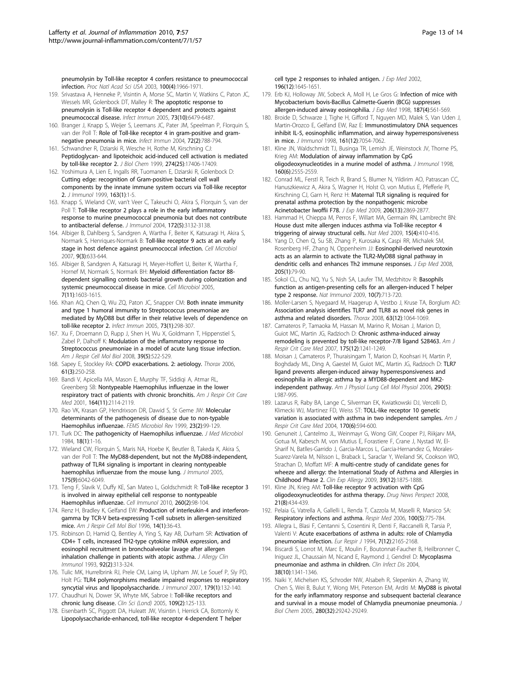<span id="page-12-0"></span>[pneumolysin by Toll-like receptor 4 confers resistance to pneumococcal](http://www.ncbi.nlm.nih.gov/pubmed/12569171?dopt=Abstract) [infection.](http://www.ncbi.nlm.nih.gov/pubmed/12569171?dopt=Abstract) Proc Natl Acad Sci USA 2003, 100(4):1966-1971.

- 159. Srivastava A, Henneke P, Visintin A, Morse SC, Martin V, Watkins C, Paton JC, Wessels MR, Golenbock DT, Malley R: [The apoptotic response to](http://www.ncbi.nlm.nih.gov/pubmed/16177320?dopt=Abstract) [pneumolysin is Toll-like receptor 4 dependent and protects against](http://www.ncbi.nlm.nih.gov/pubmed/16177320?dopt=Abstract) [pneumococcal disease.](http://www.ncbi.nlm.nih.gov/pubmed/16177320?dopt=Abstract) Infect Immun 2005, 73(10):6479-6487.
- 160. Branger J, Knapp S, Weijer S, Leemans JC, Pater JM, Speelman P, Florquin S, van der Poll T: [Role of Toll-like receptor 4 in gram-positive and gram](http://www.ncbi.nlm.nih.gov/pubmed/14742522?dopt=Abstract)[negative pneumonia in mice.](http://www.ncbi.nlm.nih.gov/pubmed/14742522?dopt=Abstract) Infect Immun 2004, 72(2):788-794.
- 161. Schwandner R, Dziarski R, Wesche H, Rothe M, Kirschning CJ: [Peptidoglycan- and lipoteichoic acid-induced cell activation is mediated](http://www.ncbi.nlm.nih.gov/pubmed/10364168?dopt=Abstract) [by toll-like receptor 2.](http://www.ncbi.nlm.nih.gov/pubmed/10364168?dopt=Abstract) J Biol Chem 1999, 274(25):17406-17409.
- 162. Yoshimura A, Lien E, Ingalls RR, Tuomanen E, Dziarski R, Golenbock D: [Cutting edge: recognition of Gram-positive bacterial cell wall](http://www.ncbi.nlm.nih.gov/pubmed/10384090?dopt=Abstract) [components by the innate immune system occurs via Toll-like receptor](http://www.ncbi.nlm.nih.gov/pubmed/10384090?dopt=Abstract) [2.](http://www.ncbi.nlm.nih.gov/pubmed/10384090?dopt=Abstract) J Immunol 1999, 163(1):1-5.
- 163. Knapp S, Wieland CW, van't Veer C, Takeuchi O, Akira S, Florquin S, van der Poll T: [Toll-like receptor 2 plays a role in the early inflammatory](http://www.ncbi.nlm.nih.gov/pubmed/14978119?dopt=Abstract) [response to murine pneumococcal pneumonia but does not contribute](http://www.ncbi.nlm.nih.gov/pubmed/14978119?dopt=Abstract) [to antibacterial defense.](http://www.ncbi.nlm.nih.gov/pubmed/14978119?dopt=Abstract) J Immunol 2004, 172(5):3132-3138.
- 164. Albiger B, Dahlberg S, Sandgren A, Wartha F, Beiter K, Katsuragi H, Akira S, Normark S, Henriques-Normark B: [Toll-like receptor 9 acts at an early](http://www.ncbi.nlm.nih.gov/pubmed/17004992?dopt=Abstract) [stage in host defence against pneumococcal infection.](http://www.ncbi.nlm.nih.gov/pubmed/17004992?dopt=Abstract) Cell Microbiol 2007, 9(3):633-644.
- 165. Albiger B, Sandgren A, Katsuragi H, Meyer-Hoffert U, Beiter K, Wartha F, Hornef M, Normark S, Normark BH: [Myeloid differentiation factor 88](http://www.ncbi.nlm.nih.gov/pubmed/16207247?dopt=Abstract) [dependent signalling controls bacterial growth during colonization and](http://www.ncbi.nlm.nih.gov/pubmed/16207247?dopt=Abstract) [systemic pneumococcal disease in mice.](http://www.ncbi.nlm.nih.gov/pubmed/16207247?dopt=Abstract) Cell Microbiol 2005, 7(11):1603-1615.
- 166. Khan AQ, Chen Q, Wu ZQ, Paton JC, Snapper CM: [Both innate immunity](http://www.ncbi.nlm.nih.gov/pubmed/15618166?dopt=Abstract) [and type 1 humoral immunity to Streptococcus pneumoniae are](http://www.ncbi.nlm.nih.gov/pubmed/15618166?dopt=Abstract) [mediated by MyD88 but differ in their relative levels of dependence on](http://www.ncbi.nlm.nih.gov/pubmed/15618166?dopt=Abstract) [toll-like receptor 2.](http://www.ncbi.nlm.nih.gov/pubmed/15618166?dopt=Abstract) Infect Immun 2005, 73(1):298-307.
- 167. Xu F, Droemann D, Rupp J, Shen H, Wu X, Goldmann T, Hippenstiel S, Zabel P, Dalhoff K: [Modulation of the inflammatory response to](http://www.ncbi.nlm.nih.gov/pubmed/18483419?dopt=Abstract) [Streptococcus pneumoniae in a model of acute lung tissue infection.](http://www.ncbi.nlm.nih.gov/pubmed/18483419?dopt=Abstract) Am J Respir Cell Mol Biol 2008, 39(5):522-529.
- 168. Sapey E, Stockley RA: [COPD exacerbations. 2: aetiology.](http://www.ncbi.nlm.nih.gov/pubmed/16517585?dopt=Abstract) Thorax 2006, 61(3):250-258.
- 169. Bandi V, Apicella MA, Mason E, Murphy TF, Siddiqi A, Atmar RL, Greenberg SB: [Nontypeable Haemophilus influenzae in the lower](http://www.ncbi.nlm.nih.gov/pubmed/11739144?dopt=Abstract) [respiratory tract of patients with chronic bronchitis.](http://www.ncbi.nlm.nih.gov/pubmed/11739144?dopt=Abstract) Am J Respir Crit Care Med 2001, 164(11):2114-2119.
- 170. Rao VK, Krasan GP, Hendrixson DR, Dawid S, St Geme JW: [Molecular](http://www.ncbi.nlm.nih.gov/pubmed/10234841?dopt=Abstract) [determinants of the pathogenesis of disease due to non-typable](http://www.ncbi.nlm.nih.gov/pubmed/10234841?dopt=Abstract) [Haemophilus influenzae.](http://www.ncbi.nlm.nih.gov/pubmed/10234841?dopt=Abstract) FEMS Microbiol Rev 1999, 23(2):99-129.
- 171. Turk DC: [The pathogenicity of Haemophilus influenzae.](http://www.ncbi.nlm.nih.gov/pubmed/6146721?dopt=Abstract) J Med Microbiol 1984, 18(1):1-16.
- 172. Wieland CW, Florquin S, Maris NA, Hoebe K, Beutler B, Takeda K, Akira S, van der Poll T: [The MyD88-dependent, but not the MyD88-independent,](http://www.ncbi.nlm.nih.gov/pubmed/16237099?dopt=Abstract) [pathway of TLR4 signaling is important in clearing nontypeable](http://www.ncbi.nlm.nih.gov/pubmed/16237099?dopt=Abstract) [haemophilus influenzae from the mouse lung.](http://www.ncbi.nlm.nih.gov/pubmed/16237099?dopt=Abstract) J Immunol 2005, 175(9):6042-6049.
- 173. Teng F, Slavik V, Duffy KE, San Mateo L, Goldschmidt R: [Toll-like receptor 3](http://www.ncbi.nlm.nih.gov/pubmed/19878930?dopt=Abstract) [is involved in airway epithelial cell response to nontypeable](http://www.ncbi.nlm.nih.gov/pubmed/19878930?dopt=Abstract) [Haemophilus influenzae.](http://www.ncbi.nlm.nih.gov/pubmed/19878930?dopt=Abstract) Cell Immunol 2010, 260(2):98-104.
- 174. Renz H, Bradley K, Gelfand EW: [Production of interleukin-4 and interferon](http://www.ncbi.nlm.nih.gov/pubmed/8534484?dopt=Abstract)[gamma by TCR-V beta-expressing T-cell subsets in allergen-sensitized](http://www.ncbi.nlm.nih.gov/pubmed/8534484?dopt=Abstract) [mice.](http://www.ncbi.nlm.nih.gov/pubmed/8534484?dopt=Abstract) Am J Respir Cell Mol Biol 1996, 14(1):36-43.
- 175. Robinson D, Hamid Q, Bentley A, Ying S, Kay AB, Durham SR: [Activation of](http://www.ncbi.nlm.nih.gov/pubmed/8349942?dopt=Abstract) [CD4+ T cells, increased TH2-type cytokine mRNA expression, and](http://www.ncbi.nlm.nih.gov/pubmed/8349942?dopt=Abstract) [eosinophil recruitment in bronchoalveolar lavage after allergen](http://www.ncbi.nlm.nih.gov/pubmed/8349942?dopt=Abstract) [inhalation challenge in patients with atopic asthma.](http://www.ncbi.nlm.nih.gov/pubmed/8349942?dopt=Abstract) J Allergy Clin Immunol 1993, 92(2):313-324.
- 176. Tulic MK, Hurrelbrink RJ, Prele CM, Laing IA, Upham JW, Le Souef P, Sly PD, Holt PG: [TLR4 polymorphisms mediate impaired responses to respiratory](http://www.ncbi.nlm.nih.gov/pubmed/17579031?dopt=Abstract) [syncytial virus and lipopolysaccharide.](http://www.ncbi.nlm.nih.gov/pubmed/17579031?dopt=Abstract) J Immunol 2007, 179(1):132-140.
- 177. Chaudhuri N, Dower SK, Whyte MK, Sabroe I: [Toll-like receptors and](http://www.ncbi.nlm.nih.gov/pubmed/16033327?dopt=Abstract) [chronic lung disease.](http://www.ncbi.nlm.nih.gov/pubmed/16033327?dopt=Abstract) Clin Sci (Lond) 2005, 109(2):125-133.
- 178. Eisenbarth SC, Piggott DA, Huleatt JW, Visintin I, Herrick CA, Bottomly K: [Lipopolysaccharide-enhanced, toll-like receptor 4-dependent T helper](http://www.ncbi.nlm.nih.gov/pubmed/12486107?dopt=Abstract)

[cell type 2 responses to inhaled antigen.](http://www.ncbi.nlm.nih.gov/pubmed/12486107?dopt=Abstract) *J Exp Med* 2002. 196(12):1645-1651.

- 179. Erb KJ, Holloway JW, Sobeck A, Moll H, Le Gros G: [Infection of mice with](http://www.ncbi.nlm.nih.gov/pubmed/9463406?dopt=Abstract) [Mycobacterium bovis-Bacillus Calmette-Guerin \(BCG\) suppresses](http://www.ncbi.nlm.nih.gov/pubmed/9463406?dopt=Abstract) [allergen-induced airway eosinophilia.](http://www.ncbi.nlm.nih.gov/pubmed/9463406?dopt=Abstract) J Exp Med 1998, 187(4):561-569.
- 180. Broide D, Schwarze J, Tighe H, Gifford T, Nguyen MD, Malek S, Van Uden J, Martin-Orozco E, Gelfand EW, Raz E: [Immunostimulatory DNA sequences](http://www.ncbi.nlm.nih.gov/pubmed/9862743?dopt=Abstract) [inhibit IL-5, eosinophilic inflammation, and airway hyperresponsiveness](http://www.ncbi.nlm.nih.gov/pubmed/9862743?dopt=Abstract) [in mice.](http://www.ncbi.nlm.nih.gov/pubmed/9862743?dopt=Abstract) J Immunol 1998, 161(12):7054-7062.
- 181. Kline JN, Waldschmidt TJ, Businga TR, Lemish JE, Weinstock JV, Thorne PS, Krieg AM: [Modulation of airway inflammation by CpG](http://www.ncbi.nlm.nih.gov/pubmed/9510150?dopt=Abstract) [oligodeoxynucleotides in a murine model of asthma.](http://www.ncbi.nlm.nih.gov/pubmed/9510150?dopt=Abstract) J Immunol 1998, 160(6):2555-2559.
- 182. Conrad ML, Ferstl R, Teich R, Brand S, Blumer N, Yildirim AO, Patrascan CC, Hanuszkiewicz A, Akira S, Wagner H, Holst O, von Mutius E, Pfefferle PI, Kirschning CJ, Garn H, Renz H: [Maternal TLR signaling is required for](http://www.ncbi.nlm.nih.gov/pubmed/19995952?dopt=Abstract) [prenatal asthma protection by the nonpathogenic microbe](http://www.ncbi.nlm.nih.gov/pubmed/19995952?dopt=Abstract) [Acinetobacter lwoffii F78.](http://www.ncbi.nlm.nih.gov/pubmed/19995952?dopt=Abstract) J Exp Med 2009, 206(13):2869-2877.
- 183. Hammad H, Chieppa M, Perros F, Willart MA, Germain RN, Lambrecht BN: [House dust mite allergen induces asthma via Toll-like receptor 4](http://www.ncbi.nlm.nih.gov/pubmed/19330007?dopt=Abstract) [triggering of airway structural cells.](http://www.ncbi.nlm.nih.gov/pubmed/19330007?dopt=Abstract) Nat Med 2009, 15(4):410-416.
- 184. Yang D, Chen Q, Su SB, Zhang P, Kurosaka K, Caspi RR, Michalek SM, Rosenberg HF, Zhang N, Oppenheim JJ: [Eosinophil-derived neurotoxin](http://www.ncbi.nlm.nih.gov/pubmed/18195069?dopt=Abstract) [acts as an alarmin to activate the TLR2-MyD88 signal pathway in](http://www.ncbi.nlm.nih.gov/pubmed/18195069?dopt=Abstract) [dendritic cells and enhances Th2 immune responses.](http://www.ncbi.nlm.nih.gov/pubmed/18195069?dopt=Abstract) *J Exp Med* 2008, 205(1):79-90.
- 185. Sokol CL, Chu NQ, Yu S, Nish SA, Laufer TM, Medzhitov R: [Basophils](http://www.ncbi.nlm.nih.gov/pubmed/19465907?dopt=Abstract) [function as antigen-presenting cells for an allergen-induced T helper](http://www.ncbi.nlm.nih.gov/pubmed/19465907?dopt=Abstract) [type 2 response.](http://www.ncbi.nlm.nih.gov/pubmed/19465907?dopt=Abstract) Nat Immunol 2009, 10(7):713-720.
- 186. Moller-Larsen S, Nyegaard M, Haagerup A, Vestbo J, Kruse TA, Borglum AD: [Association analysis identifies TLR7 and TLR8 as novel risk genes in](http://www.ncbi.nlm.nih.gov/pubmed/18682521?dopt=Abstract) [asthma and related disorders.](http://www.ncbi.nlm.nih.gov/pubmed/18682521?dopt=Abstract) Thorax 2008, 63(12):1064-1069.
- 187. Camateros P, Tamaoka M, Hassan M, Marino R, Moisan J, Marion D, Guiot MC, Martin JG, Radzioch D: [Chronic asthma-induced airway](http://www.ncbi.nlm.nih.gov/pubmed/17400732?dopt=Abstract) [remodeling is prevented by toll-like receptor-7/8 ligand S28463.](http://www.ncbi.nlm.nih.gov/pubmed/17400732?dopt=Abstract) Am J Respir Crit Care Med 2007, 175(12):1241-1249.
- 188. Moisan J, Camateros P, Thuraisingam T, Marion D, Koohsari H, Martin P, Boghdady ML, Ding A, Gaestel M, Guiot MC, Martin JG, Radzioch D: [TLR7](http://www.ncbi.nlm.nih.gov/pubmed/16361354?dopt=Abstract) [ligand prevents allergen-induced airway hyperresponsiveness and](http://www.ncbi.nlm.nih.gov/pubmed/16361354?dopt=Abstract) [eosinophilia in allergic asthma by a MYD88-dependent and MK2](http://www.ncbi.nlm.nih.gov/pubmed/16361354?dopt=Abstract) [independent pathway.](http://www.ncbi.nlm.nih.gov/pubmed/16361354?dopt=Abstract) Am J Physiol Lung Cell Mol Physiol 2006, 290(5): L987-995.
- 189. Lazarus R, Raby BA, Lange C, Silverman EK, Kwiatkowski DJ, Vercelli D, Klimecki WJ, Martinez FD, Weiss ST: [TOLL-like receptor 10 genetic](http://www.ncbi.nlm.nih.gov/pubmed/15201134?dopt=Abstract) [variation is associated with asthma in two independent samples.](http://www.ncbi.nlm.nih.gov/pubmed/15201134?dopt=Abstract) Am J Respir Crit Care Med 2004, 170(6):594-600.
- 190. Genuneit J, Cantelmo JL, Weinmayr G, Wong GW, Cooper PJ, Riikjarv MA, Gotua M, Kabesch M, von Mutius E, Forastiere F, Crane J, Nystad W, El-Sharif N, Batlles-Garrido J, Garcia-Marcos L, Garcia-Hernandez G, Morales-Suarez-Varela M, Nilsson L, Braback L, Saraclar Y, Weiland SK, Cookson WO, Strachan D, Moffatt MF: [A multi-centre study of candidate genes for](http://www.ncbi.nlm.nih.gov/pubmed/20085599?dopt=Abstract) [wheeze and allergy: the International Study of Asthma and Allergies in](http://www.ncbi.nlm.nih.gov/pubmed/20085599?dopt=Abstract) [Childhood Phase 2.](http://www.ncbi.nlm.nih.gov/pubmed/20085599?dopt=Abstract) Clin Exp Allergy 2009, 39(12):1875-1888.
- 191. Kline JN, Krieg AM: [Toll-like receptor 9 activation with CpG](http://www.ncbi.nlm.nih.gov/pubmed/19034349?dopt=Abstract) [oligodeoxynucleotides for asthma therapy.](http://www.ncbi.nlm.nih.gov/pubmed/19034349?dopt=Abstract) Drug News Perspect 2008, 21(8):434-439.
- 192. Pelaia G, Vatrella A, Gallelli L, Renda T, Cazzola M, Maselli R, Marsico SA: [Respiratory infections and asthma.](http://www.ncbi.nlm.nih.gov/pubmed/16289785?dopt=Abstract) Respir Med 2006, 100(5):775-784.
- 193. Allegra L, Blasi F, Centanni S, Cosentini R, Denti F, Raccanelli R, Tarsia P, Valenti V: [Acute exacerbations of asthma in adults: role of Chlamydia](http://www.ncbi.nlm.nih.gov/pubmed/7713198?dopt=Abstract) [pneumoniae infection.](http://www.ncbi.nlm.nih.gov/pubmed/7713198?dopt=Abstract) Eur Respir J 1994, 7(12):2165-2168.
- 194. Biscardi S, Lorrot M, Marc E, Moulin F, Boutonnat-Faucher B, Heilbronner C, Iniguez JL, Chaussain M, Nicand E, Raymond J, Gendrel D: [Mycoplasma](http://www.ncbi.nlm.nih.gov/pubmed/15156467?dopt=Abstract) [pneumoniae and asthma in children.](http://www.ncbi.nlm.nih.gov/pubmed/15156467?dopt=Abstract) Clin Infect Dis 2004, 38(10):1341-1346.
- 195. Naiki Y, Michelsen KS, Schroder NW, Alsabeh R, Slepenkin A, Zhang W, Chen S, Wei B, Bulut Y, Wong MH, Peterson EM, Arditi M: [MyD88 is pivotal](http://www.ncbi.nlm.nih.gov/pubmed/15964841?dopt=Abstract) [for the early inflammatory response and subsequent bacterial clearance](http://www.ncbi.nlm.nih.gov/pubmed/15964841?dopt=Abstract) [and survival in a mouse model of Chlamydia pneumoniae pneumonia.](http://www.ncbi.nlm.nih.gov/pubmed/15964841?dopt=Abstract) J Biol Chem 2005, 280(32):29242-29249.